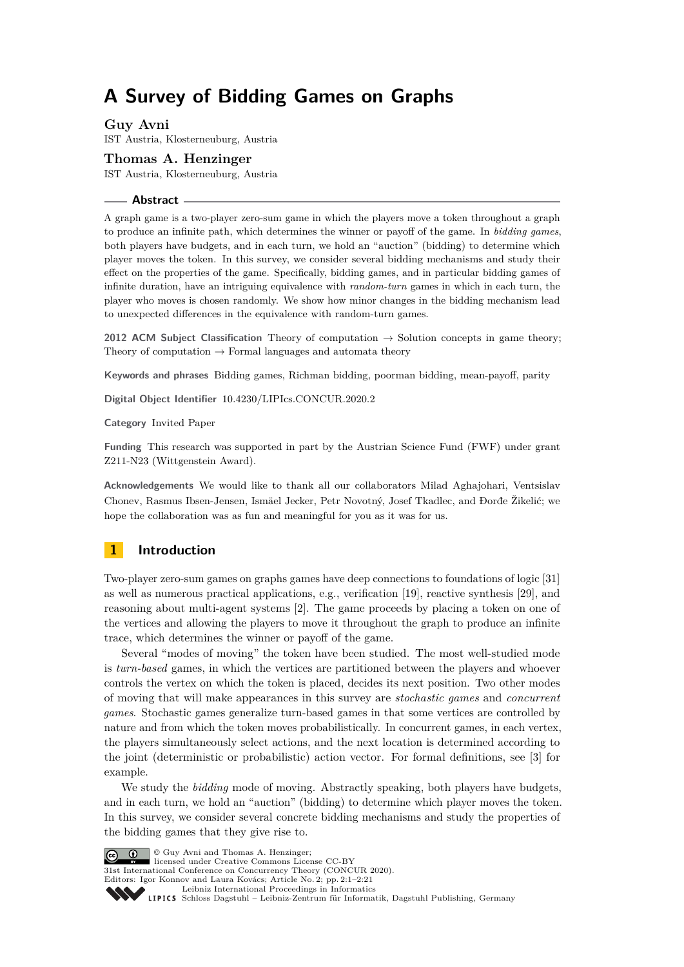# <span id="page-0-0"></span>**A Survey of Bidding Games on Graphs**

**Guy Avni** IST Austria, Klosterneuburg, Austria

**Thomas A. Henzinger** IST Austria, Klosterneuburg, Austria

#### **Abstract**

A graph game is a two-player zero-sum game in which the players move a token throughout a graph to produce an infinite path, which determines the winner or payoff of the game. In *bidding games*, both players have budgets, and in each turn, we hold an "auction" (bidding) to determine which player moves the token. In this survey, we consider several bidding mechanisms and study their effect on the properties of the game. Specifically, bidding games, and in particular bidding games of infinite duration, have an intriguing equivalence with *random-turn* games in which in each turn, the player who moves is chosen randomly. We show how minor changes in the bidding mechanism lead to unexpected differences in the equivalence with random-turn games.

**2012 ACM Subject Classification** Theory of computation  $\rightarrow$  Solution concepts in game theory; Theory of computation  $\rightarrow$  Formal languages and automata theory

**Keywords and phrases** Bidding games, Richman bidding, poorman bidding, mean-payoff, parity

**Digital Object Identifier** [10.4230/LIPIcs.CONCUR.2020.2](https://doi.org/10.4230/LIPIcs.CONCUR.2020.2)

**Category** Invited Paper

**Funding** This research was supported in part by the Austrian Science Fund (FWF) under grant Z211-N23 (Wittgenstein Award).

**Acknowledgements** We would like to thank all our collaborators Milad Aghajohari, Ventsislav Chonev, Rasmus Ibsen-Jensen, Ismäel Jecker, Petr Novotný, Josef Tkadlec, and Ðorđe Žikelić; we hope the collaboration was as fun and meaningful for you as it was for us.

# **1 Introduction**

Two-player zero-sum games on graphs games have deep connections to foundations of logic [\[31\]](#page-20-0) as well as numerous practical applications, e.g., verification [\[19\]](#page-20-1), reactive synthesis [\[29\]](#page-20-2), and reasoning about multi-agent systems [\[2\]](#page-19-0). The game proceeds by placing a token on one of the vertices and allowing the players to move it throughout the graph to produce an infinite trace, which determines the winner or payoff of the game.

Several "modes of moving" the token have been studied. The most well-studied mode is *turn-based* games, in which the vertices are partitioned between the players and whoever controls the vertex on which the token is placed, decides its next position. Two other modes of moving that will make appearances in this survey are *stochastic games* and *concurrent games*. Stochastic games generalize turn-based games in that some vertices are controlled by nature and from which the token moves probabilistically. In concurrent games, in each vertex, the players simultaneously select actions, and the next location is determined according to the joint (deterministic or probabilistic) action vector. For formal definitions, see [\[3\]](#page-19-1) for example.

We study the *bidding* mode of moving. Abstractly speaking, both players have budgets, and in each turn, we hold an "auction" (bidding) to determine which player moves the token. In this survey, we consider several concrete bidding mechanisms and study the properties of the bidding games that they give rise to.



 $\boxed{6}$  0 licensed under Creative Commons License CC-BY 31st International Conference on Concurrency Theory (CONCUR 2020). Editors: Igor Konnov and Laura Kovács; Article No. 2; pp. 2:1–2[:21](#page-20-3) [Leibniz International Proceedings in Informatics](https://www.dagstuhl.de/lipics/) [Schloss Dagstuhl – Leibniz-Zentrum für Informatik, Dagstuhl Publishing, Germany](https://www.dagstuhl.de)

© Guy Avni and Thomas A. Henzinger;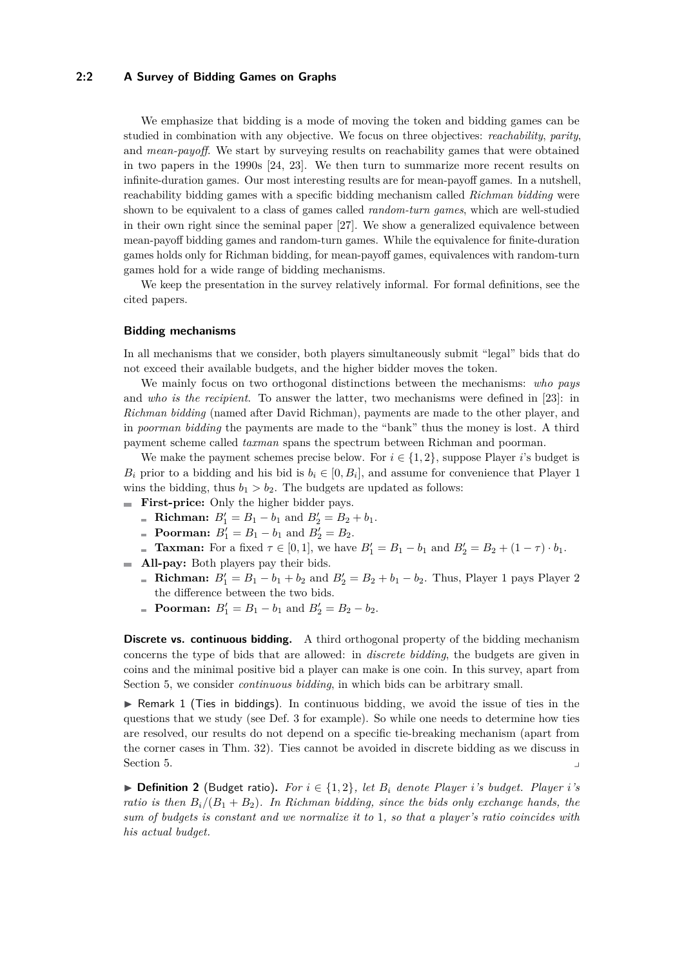## **2:2 A Survey of Bidding Games on Graphs**

We emphasize that bidding is a mode of moving the token and bidding games can be studied in combination with any objective. We focus on three objectives: *reachability*, *parity*, and *mean-payoff*. We start by surveying results on reachability games that were obtained in two papers in the 1990s [\[24,](#page-20-4) [23\]](#page-20-5). We then turn to summarize more recent results on infinite-duration games. Our most interesting results are for mean-payoff games. In a nutshell, reachability bidding games with a specific bidding mechanism called *Richman bidding* were shown to be equivalent to a class of games called *random-turn games*, which are well-studied in their own right since the seminal paper [\[27\]](#page-20-6). We show a generalized equivalence between mean-payoff bidding games and random-turn games. While the equivalence for finite-duration games holds only for Richman bidding, for mean-payoff games, equivalences with random-turn games hold for a wide range of bidding mechanisms.

We keep the presentation in the survey relatively informal. For formal definitions, see the cited papers.

#### **Bidding mechanisms**

In all mechanisms that we consider, both players simultaneously submit "legal" bids that do not exceed their available budgets, and the higher bidder moves the token.

We mainly focus on two orthogonal distinctions between the mechanisms: *who pays* and *who is the recipient*. To answer the latter, two mechanisms were defined in [\[23\]](#page-20-5): in *Richman bidding* (named after David Richman), payments are made to the other player, and in *poorman bidding* the payments are made to the "bank" thus the money is lost. A third payment scheme called *taxman* spans the spectrum between Richman and poorman.

We make the payment schemes precise below. For  $i \in \{1, 2\}$ , suppose Player *i*'s budget is  $B_i$  prior to a bidding and his bid is  $b_i \in [0, B_i]$ , and assume for convenience that Player 1 wins the bidding, thus  $b_1 > b_2$ . The budgets are updated as follows:

- **First-price:** Only the higher bidder pays.
	- **Richman:**  $B'_1 = B_1 b_1$  and  $B'_2 = B_2 + b_1$ .
	- **Poorman:**  $B'_1 = B_1 b_1$  and  $B'_2 = B_2$ .
	- **Taxman:** For a fixed  $\tau \in [0, 1]$ , we have  $B'_1 = B_1 b_1$  and  $B'_2 = B_2 + (1 \tau) \cdot b_1$ .
- **All-pay:** Both players pay their bids. m.
	- **Richman:**  $B'_1 = B_1 b_1 + b_2$  and  $B'_2 = B_2 + b_1 b_2$ . Thus, Player 1 pays Player 2 the difference between the two bids.
	- **Poorman:**  $B'_1 = B_1 b_1$  and  $B'_2 = B_2 b_2$ .

**Discrete vs. continuous bidding.** A third orthogonal property of the bidding mechanism concerns the type of bids that are allowed: in *discrete bidding*, the budgets are given in coins and the minimal positive bid a player can make is one coin. In this survey, apart from Section [5,](#page-16-0) we consider *continuous bidding*, in which bids can be arbitrary small.

 $\triangleright$  Remark 1 (Ties in biddings). In continuous bidding, we avoid the issue of ties in the questions that we study (see Def. [3](#page-2-0) for example). So while one needs to determine how ties are resolved, our results do not depend on a specific tie-breaking mechanism (apart from the corner cases in Thm. [32\)](#page-14-0). Ties cannot be avoided in discrete bidding as we discuss in Section [5.](#page-16-0)

▶ **Definition 2** (Budget ratio). For  $i \in \{1, 2\}$ , let  $B_i$  denote Player *i*'s budget. Player *i*'s *ratio is then*  $B_i/(B_1 + B_2)$ . In Richman bidding, since the bids only exchange hands, the *sum of budgets is constant and we normalize it to* 1*, so that a player's ratio coincides with his actual budget.*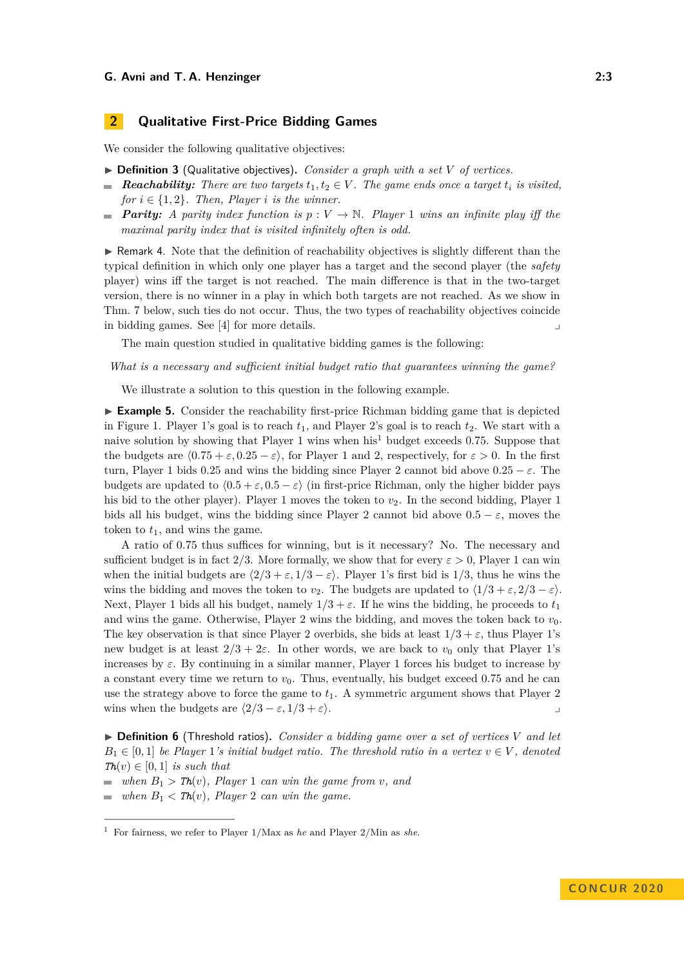# **2 Qualitative First-Price Bidding Games**

We consider the following qualitative objectives:

- <span id="page-2-0"></span> $\triangleright$  **Definition 3** (Qualitative objectives). *Consider a graph with a set V of vertices.*
- **Reachability:** There are two targets  $t_1, t_2 \in V$ . The game ends once a target  $t_i$  is visited, *for*  $i \in \{1, 2\}$ *. Then, Player i is the winner.*
- *Parity: A parity index function is*  $p: V \to \mathbb{N}$ *. Player* 1 *wins an infinite play iff the maximal parity index that is visited infinitely often is odd.*

 $\triangleright$  Remark 4. Note that the definition of reachability objectives is slightly different than the typical definition in which only one player has a target and the second player (the *safety* player) wins iff the target is not reached. The main difference is that in the two-target version, there is no winner in a play in which both targets are not reached. As we show in Thm. [7](#page-3-0) below, such ties do not occur. Thus, the two types of reachability objectives coincide in bidding games. See  $[4]$  for more details.

The main question studied in qualitative bidding games is the following:

*What is a necessary and sufficient initial budget ratio that guarantees winning the game?*

We illustrate a solution to this question in the following example.

<span id="page-2-2"></span>► **Example 5.** Consider the reachability first-price Richman bidding game that is depicted in Figure [1.](#page-3-1) Player 1's goal is to reach  $t_1$ , and Player 2's goal is to reach  $t_2$ . We start with a naive solution by showing that Player 1 wins when his[1](#page-2-1) budget exceeds 0*.*75. Suppose that the budgets are  $(0.75 + \varepsilon, 0.25 - \varepsilon)$ , for Player 1 and 2, respectively, for  $\varepsilon > 0$ . In the first turn, Player 1 bids 0.25 and wins the bidding since Player 2 cannot bid above  $0.25 - \varepsilon$ . The budgets are updated to  $(0.5 + \varepsilon, 0.5 - \varepsilon)$  (in first-price Richman, only the higher bidder pays his bid to the other player). Player 1 moves the token to  $v<sub>2</sub>$ . In the second bidding, Player 1 bids all his budget, wins the bidding since Player 2 cannot bid above  $0.5 - \varepsilon$ , moves the token to  $t_1$ , and wins the game.

A ratio of 0*.*75 thus suffices for winning, but is it necessary? No. The necessary and sufficient budget is in fact 2/3. More formally, we show that for every  $\varepsilon > 0$ , Player 1 can win when the initial budgets are  $\langle 2/3 + \varepsilon, 1/3 - \varepsilon \rangle$ . Player 1's first bid is 1/3, thus he wins the wins the bidding and moves the token to  $v_2$ . The budgets are updated to  $\langle 1/3 + \varepsilon, 2/3 - \varepsilon \rangle$ . Next, Player 1 bids all his budget, namely  $1/3 + \varepsilon$ . If he wins the bidding, he proceeds to  $t_1$ and wins the game. Otherwise, Player 2 wins the bidding, and moves the token back to  $v_0$ . The key observation is that since Player 2 overbids, she bids at least  $1/3 + \varepsilon$ , thus Player 1's new budget is at least  $2/3 + 2\varepsilon$ . In other words, we are back to  $v_0$  only that Player 1's increases by  $\varepsilon$ . By continuing in a similar manner, Player 1 forces his budget to increase by a constant every time we return to  $v_0$ . Thus, eventually, his budget exceed 0.75 and he can use the strategy above to force the game to  $t_1$ . A symmetric argument shows that Player 2 wins when the budgets are  $\langle 2/3 - \varepsilon, 1/3 + \varepsilon \rangle$ .

 $\triangleright$  **Definition 6** (Threshold ratios). *Consider a bidding game over a set of vertices V and let*  $B_1 \in [0,1]$  *be Player* 1*'s initial budget ratio. The threshold ratio in a vertex*  $v \in V$ , denoted  $\mathbf{Th}(v) \in [0,1]$  *is such that* 

*when*  $B_1 > Th(v)$ *, Player* 1 *can win the game from <i>v, and* 

*when*  $B_1 < Th(v)$ *, Player* 2 *can win the game.*  $\sim$ 

<span id="page-2-1"></span><sup>1</sup> For fairness, we refer to Player 1/Max as *he* and Player 2/Min as *she*.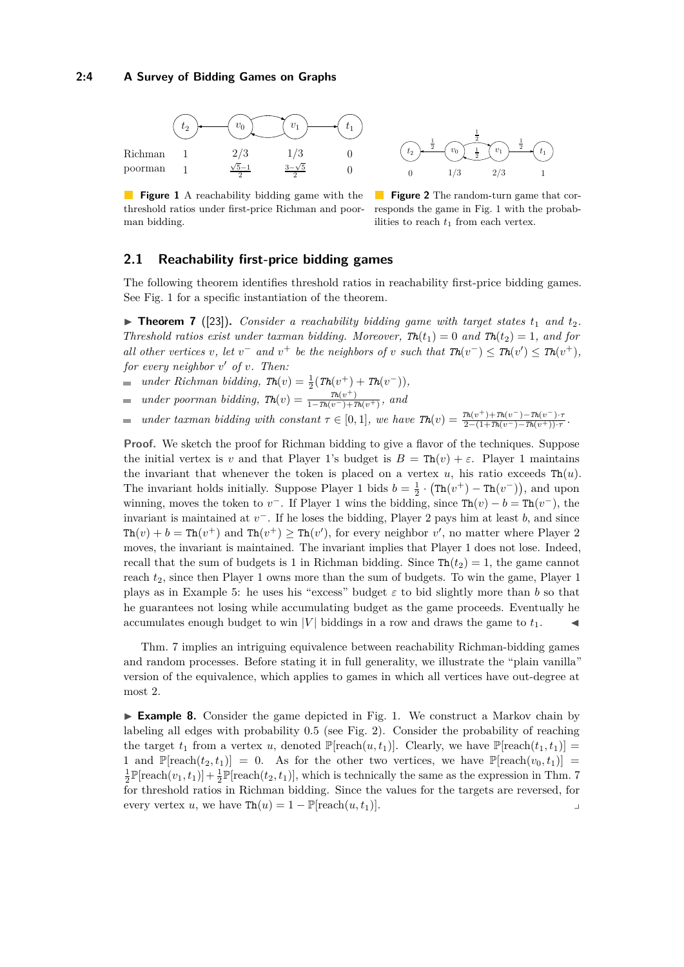#### **2:4 A Survey of Bidding Games on Graphs**

<span id="page-3-1"></span>



**Figure 1** A reachability bidding game with the threshold ratios under first-price Richman and poorman bidding.

**Figure 2** The random-turn game that corresponds the game in Fig. [1](#page-3-1) with the probabilities to reach *t*<sup>1</sup> from each vertex.

# **2.1 Reachability first-price bidding games**

The following theorem identifies threshold ratios in reachability first-price bidding games. See Fig. [1](#page-3-1) for a specific instantiation of the theorem.

<span id="page-3-0"></span> $\triangleright$  **Theorem 7** ([\[23\]](#page-20-5)). *Consider a reachability bidding game with target states*  $t_1$  *and*  $t_2$ *. Threshold ratios exist under taxman bidding. Moreover,*  $\mathbf{T}h(t_1) = 0$  and  $\mathbf{T}h(t_2) = 1$ , and for *all other vertices v*, let  $v^-$  and  $v^+$  be the neighbors of *v* such that  $\text{Th}(v^-) \leq \text{Th}(v') \leq \text{Th}(v^+)$ , *for every neighbor v* <sup>0</sup> *of v. Then:*

*under Richman bidding,*  $\text{Th}(v) = \frac{1}{2}(\text{Th}(v^+) + \text{Th}(v^-)),$  $\equiv$ 

- *under poorman bidding,*  $\mathit{Th}(v) = \frac{\mathit{Th}(v^{+})}{1-\mathit{Th}(v^{-})+1}$  $\frac{ln(v)}{1 - Th(v^-) + Th(v^+)}$ , and  $\overline{a}$
- *under* taxman bidding with constant  $\tau \in [0,1]$ *, we have*  $\mathbf{Th}(v) = \frac{\tau h(v^+) + \tau h(v^-) \tau h(v^-) \cdot \tau h(v^-) \tau h(v^+) \cdot \tau h(v^-)}{2 (1 + \tau h(v^-) \tau h(v^+) \cdot \tau h(v^-)}$  $\overline{a}$  $\frac{2-(1+Th(v^-)-Th(v^+))\cdot \tau}{2-(1+Th(v^-)-Th(v^+))\cdot \tau}.$

**Proof.** We sketch the proof for Richman bidding to give a flavor of the techniques. Suppose the initial vertex is *v* and that Player 1's budget is  $B = Th(v) + \varepsilon$ . Player 1 maintains the invariant that whenever the token is placed on a vertex  $u$ , his ratio exceeds  $\text{Th}(u)$ . The invariant holds initially. Suppose Player 1 bids  $b = \frac{1}{2} \cdot (\text{Th}(v^+) - \text{Th}(v^-))$ , and upon winning, moves the token to  $v^-$ . If Player 1 wins the bidding, since  $\text{Th}(v) - b = \text{Th}(v^-)$ , the invariant is maintained at *v* <sup>−</sup>. If he loses the bidding, Player 2 pays him at least *b*, and since  $\text{Th}(v) + b = \text{Th}(v^+)$  and  $\text{Th}(v^+) \geq \text{Th}(v')$ , for every neighbor  $v'$ , no matter where Player 2 moves, the invariant is maintained. The invariant implies that Player 1 does not lose. Indeed, recall that the sum of budgets is 1 in Richman bidding. Since  $\text{Th}(t_2) = 1$ , the game cannot reach *t*2, since then Player 1 owns more than the sum of budgets. To win the game, Player 1 plays as in Example [5:](#page-2-2) he uses his "excess" budget  $\varepsilon$  to bid slightly more than *b* so that he guarantees not losing while accumulating budget as the game proceeds. Eventually he accumulates enough budget to win |*V*| biddings in a row and draws the game to  $t_1$ .

Thm. [7](#page-3-0) implies an intriguing equivalence between reachability Richman-bidding games and random processes. Before stating it in full generality, we illustrate the "plain vanilla" version of the equivalence, which applies to games in which all vertices have out-degree at most 2.

► **Example 8.** Consider the game depicted in Fig. [1.](#page-3-1) We construct a Markov chain by labeling all edges with probability 0*.*5 (see Fig. [2\)](#page-3-1). Consider the probability of reaching the target  $t_1$  from a vertex *u*, denoted  $\mathbb{P}$ [reach $(u, t_1)$ ]. Clearly, we have  $\mathbb{P}$ [reach $(t_1, t_1)$ ] = 1 and  $\mathbb{P}[\text{reach}(t_2, t_1)] = 0$ . As for the other two vertices, we have  $\mathbb{P}[\text{reach}(v_0, t_1)] =$  $\frac{1}{2}\mathbb{P}[\text{reach}(v_1, t_1)] + \frac{1}{2}\mathbb{P}[\text{reach}(t_2, t_1)],$  which is technically the same as the expression in Thm. [7](#page-3-0) for threshold ratios in Richman bidding. Since the values for the targets are reversed, for every vertex *u*, we have  $\text{Th}(u) = 1 - \mathbb{P}[\text{reach}(u, t_1)].$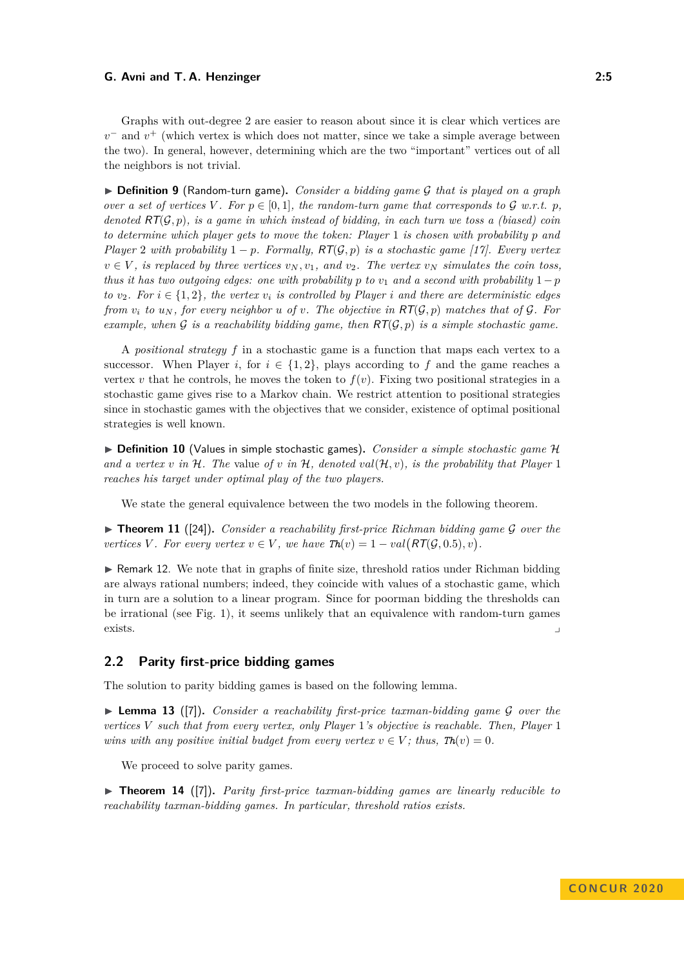Graphs with out-degree 2 are easier to reason about since it is clear which vertices are  $v^-$  and  $v^+$  (which vertex is which does not matter, since we take a simple average between the two). In general, however, determining which are the two "important" vertices out of all the neighbors is not trivial.

I **Definition 9** (Random-turn game)**.** *Consider a bidding game* G *that is played on a graph over a set of vertices V*. For  $p \in [0,1]$ *, the random-turn game that corresponds to*  $\mathcal G$  *w.r.t.*  $p$ *, denoted* RT(G*, p*)*, is a game in which instead of bidding, in each turn we toss a (biased) coin to determine which player gets to move the token: Player* 1 *is chosen with probability p and Player* 2 *with probability*  $1 - p$ *. Formally, RT(G, p) is a stochastic game [\[17\]](#page-20-7). Every vertex*  $v \in V$ , is replaced by three vertices  $v_N, v_1, u_2$  and  $v_2$ . The vertex  $v_N$  simulates the coin toss, *thus it has two outgoing edges: one with probability p to*  $v_1$  *and a second with probability*  $1-p$ *to*  $v_2$ *. For*  $i \in \{1, 2\}$ *, the vertex*  $v_i$  *is controlled by Player i* and there are deterministic edges *from*  $v_i$  *to*  $u_N$ *, for every neighbor u of v. The objective in*  $RT(\mathcal{G}, p)$  *matches that of*  $\mathcal{G}$ *. For example, when*  $G$  *is a reachability bidding game, then*  $RT(G, p)$  *is a simple stochastic game.* 

A *positional strategy f* in a stochastic game is a function that maps each vertex to a successor. When Player *i*, for  $i \in \{1,2\}$ , plays according to f and the game reaches a vertex  $v$  that he controls, he moves the token to  $f(v)$ . Fixing two positional strategies in a stochastic game gives rise to a Markov chain. We restrict attention to positional strategies since in stochastic games with the objectives that we consider, existence of optimal positional strategies is well known.

▶ **Definition 10** (Values in simple stochastic games). *Consider a simple stochastic game* H and a vertex *v* in H. The value of *v* in H, denoted  $val(\mathcal{H}, v)$ , is the probability that Player 1 *reaches his target under optimal play of the two players.*

We state the general equivalence between the two models in the following theorem.

<span id="page-4-1"></span>▶ **Theorem 11** ([\[24\]](#page-20-4)). *Consider a reachability first-price Richman bidding game* G *over the vertices V*. For every vertex  $v \in V$ *, we have*  $\text{Th}(v) = 1 - val(\text{RT}(\mathcal{G}, 0.5), v)$ .

<span id="page-4-2"></span> $\triangleright$  Remark 12. We note that in graphs of finite size, threshold ratios under Richman bidding are always rational numbers; indeed, they coincide with values of a stochastic game, which in turn are a solution to a linear program. Since for poorman bidding the thresholds can be irrational (see Fig. [1\)](#page-3-1), it seems unlikely that an equivalence with random-turn games exists.

## **2.2 Parity first-price bidding games**

<span id="page-4-0"></span>The solution to parity bidding games is based on the following lemma.

 $\triangleright$  **Lemma 13** ([\[7\]](#page-20-8)). *Consider a reachability first-price taxman-bidding game G over the vertices V such that from every vertex, only Player* 1*'s objective is reachable. Then, Player* 1 *wins with any positive initial budget from every vertex*  $v \in V$ ; thus,  $\text{Th}(v) = 0$ .

We proceed to solve parity games.

<span id="page-4-3"></span>▶ **Theorem 14** ([\[7\]](#page-20-8)). *Parity first-price taxman-bidding games are linearly reducible to reachability taxman-bidding games. In particular, threshold ratios exists.*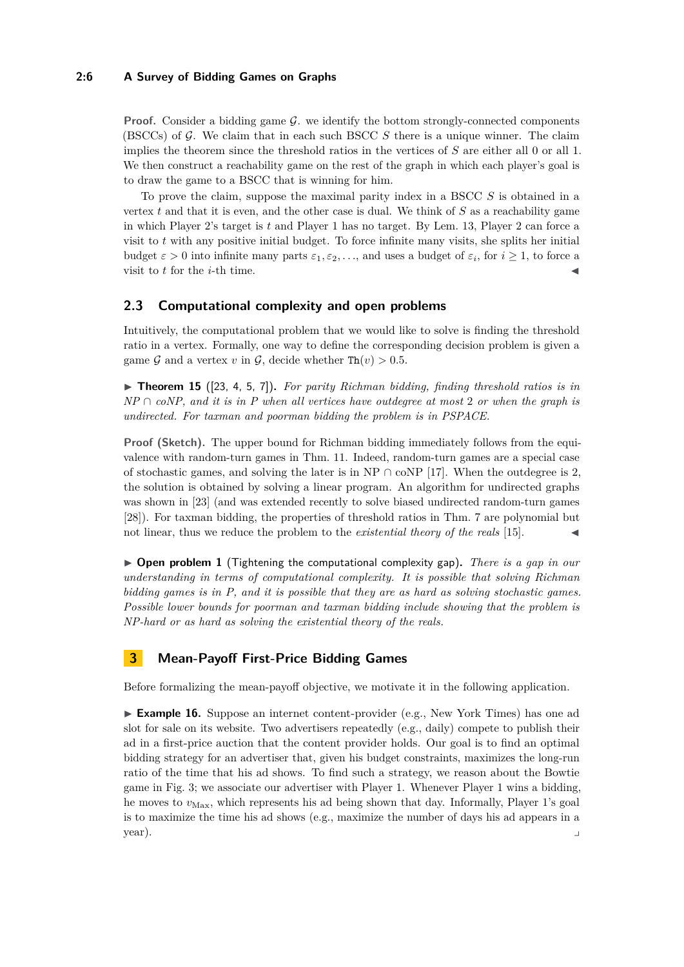# **2:6 A Survey of Bidding Games on Graphs**

**Proof.** Consider a bidding game  $G$ , we identify the bottom strongly-connected components (BSCCs) of  $G$ . We claim that in each such BSCC  $S$  there is a unique winner. The claim implies the theorem since the threshold ratios in the vertices of *S* are either all 0 or all 1. We then construct a reachability game on the rest of the graph in which each player's goal is to draw the game to a BSCC that is winning for him.

To prove the claim, suppose the maximal parity index in a BSCC *S* is obtained in a vertex  $t$  and that it is even, and the other case is dual. We think of  $S$  as a reachability game in which Player 2's target is *t* and Player 1 has no target. By Lem. [13,](#page-4-0) Player 2 can force a visit to *t* with any positive initial budget. To force infinite many visits, she splits her initial budget  $\varepsilon > 0$  into infinite many parts  $\varepsilon_1, \varepsilon_2, \ldots$ , and uses a budget of  $\varepsilon_i$ , for  $i \ge 1$ , to force a visit to *t* for the *i*-th time.

# **2.3 Computational complexity and open problems**

Intuitively, the computational problem that we would like to solve is finding the threshold ratio in a vertex. Formally, one way to define the corresponding decision problem is given a game G and a vertex v in G, decide whether  $\text{Th}(v) > 0.5$ .

 $\triangleright$  **Theorem 15** ([\[23,](#page-20-5) [4,](#page-19-2) [5,](#page-20-9) [7\]](#page-20-8)). For parity Richman bidding, finding threshold ratios is in  $NP \cap coNP$ , and it is in P when all vertices have outdegree at most 2 or when the graph is *undirected. For taxman and poorman bidding the problem is in PSPACE.*

**Proof (Sketch).** The upper bound for Richman bidding immediately follows from the equivalence with random-turn games in Thm. [11.](#page-4-1) Indeed, random-turn games are a special case of stochastic games, and solving the later is in NP  $\cap$  coNP [\[17\]](#page-20-7). When the outdegree is 2, the solution is obtained by solving a linear program. An algorithm for undirected graphs was shown in [\[23\]](#page-20-5) (and was extended recently to solve biased undirected random-turn games [\[28\]](#page-20-10)). For taxman bidding, the properties of threshold ratios in Thm. [7](#page-3-0) are polynomial but not linear, thus we reduce the problem to the *existential theory of the reals* [\[15\]](#page-20-11).

<span id="page-5-0"></span>I **Open problem 1** (Tightening the computational complexity gap)**.** *There is a gap in our understanding in terms of computational complexity. It is possible that solving Richman bidding games is in P, and it is possible that they are as hard as solving stochastic games. Possible lower bounds for poorman and taxman bidding include showing that the problem is NP-hard or as hard as solving the existential theory of the reals.*

# **3 Mean-Payoff First-Price Bidding Games**

Before formalizing the mean-payoff objective, we motivate it in the following application.

► **Example 16.** Suppose an internet content-provider (e.g., New York Times) has one ad slot for sale on its website. Two advertisers repeatedly (e.g., daily) compete to publish their ad in a first-price auction that the content provider holds. Our goal is to find an optimal bidding strategy for an advertiser that, given his budget constraints, maximizes the long-run ratio of the time that his ad shows. To find such a strategy, we reason about the Bowtie game in Fig. [3;](#page-6-0) we associate our advertiser with Player 1. Whenever Player 1 wins a bidding, he moves to  $v_{\text{Max}}$ , which represents his ad being shown that day. Informally, Player 1's goal is to maximize the time his ad shows (e.g., maximize the number of days his ad appears in a year). y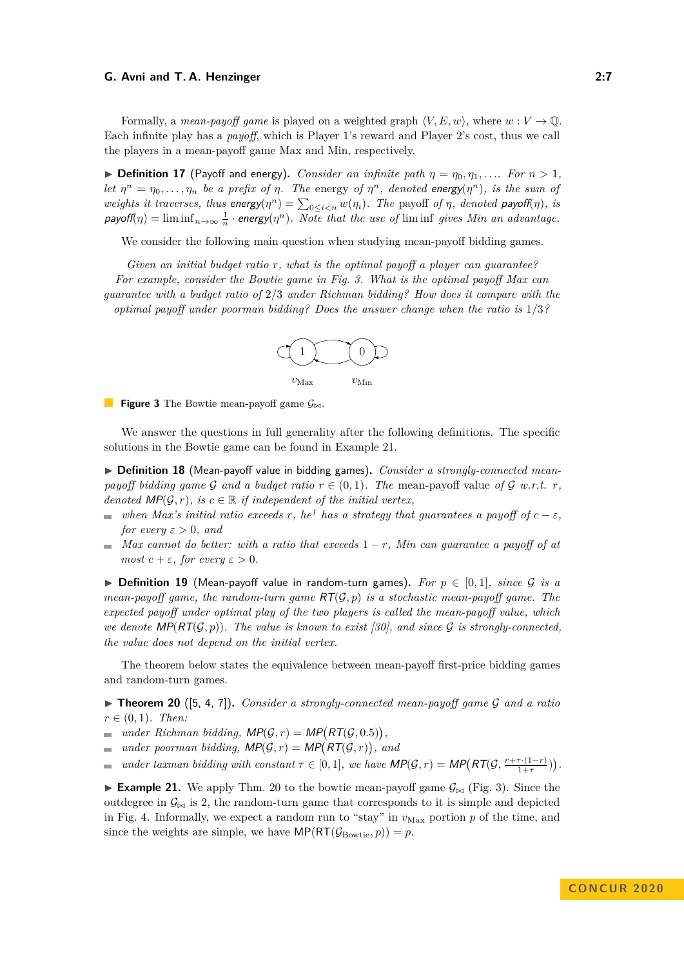Formally, a *mean-payoff game* is played on a weighted graph  $\langle V, E, w \rangle$ , where  $w : V \to \mathbb{Q}$ . Each infinite play has a *payoff*, which is Player 1's reward and Player 2's cost, thus we call the players in a mean-payoff game Max and Min, respectively.

<span id="page-6-3"></span>**Definition 17** (Payoff and energy). *Consider an infinite path*  $\eta = \eta_0, \eta_1, \ldots$  *For*  $n > 1$ *, let*  $\eta^n = \eta_0, \ldots, \eta_n$  *be a prefix of*  $\eta$ *. The* energy *of*  $\eta^n$ *, denoted* energy( $\eta^n$ )*, is the sum of weights it traverses, thus energy*( $\eta^n$ ) =  $\sum_{0 \le i \le n} w(\eta_i)$ *. The payoff of*  $\eta$ *, denoted payoff*( $\eta$ )*, is*  $p$ ayoff( $\eta$ ) =  $\liminf_{n\to\infty} \frac{1}{n}$  · energy( $\eta^n$ ). Note that the use of  $\liminf$  gives Min an advantage.

We consider the following main question when studying mean-payoff bidding games.

<span id="page-6-0"></span>*Given an initial budget ratio r, what is the optimal payoff a player can guarantee? For example, consider the Bowtie game in Fig. [3.](#page-6-0) What is the optimal payoff Max can guarantee with a budget ratio of* 2*/*3 *under Richman bidding? How does it compare with the optimal payoff under poorman bidding? Does the answer change when the ratio is* 1*/*3*?*



**Figure 3** The Bowtie mean-payoff game  $\mathcal{G}_{\bowtie}$ .

We answer the questions in full generality after the following definitions. The specific solutions in the Bowtie game can be found in Example [21.](#page-6-1)

▶ Definition 18 (Mean-payoff value in bidding games). *Consider a strongly-connected meanpayoff bidding game* G and a budget ratio  $r \in (0, 1)$ . The mean-payoff value of G w.r.t. r. *denoted*  $\mathsf{MP}(\mathcal{G}, r)$ *, is*  $c \in \mathbb{R}$  *if independent of the initial vertex,* 

- *when Max's initial ratio exceeds r, he*<sup>[1](#page-0-0)</sup> *has a strategy that guarantees a payoff of*  $c \varepsilon$ *, for every*  $\varepsilon > 0$ *, and*
- *Max cannot do better: with a ratio that exceeds* 1 − *r, Min can guarantee a payoff of at most*  $c + \varepsilon$ *, for every*  $\varepsilon > 0$ *.*

**► Definition 19** (Mean-payoff value in random-turn games). For  $p \in [0,1]$ , since G is a *mean-payoff game, the random-turn game* RT(G*, p*) *is a stochastic mean-payoff game. The expected payoff under optimal play of the two players is called the mean-payoff value, which we denote*  $\mathsf{MP}(\mathsf{RT}(\mathcal{G}, p))$ . The value is known to exist [\[30\]](#page-20-12), and since  $\mathcal{G}$  is strongly-connected, *the value does not depend on the initial vertex.*

The theorem below states the equivalence between mean-payoff first-price bidding games and random-turn games.

<span id="page-6-2"></span> $\triangleright$  **Theorem 20** ([\[5,](#page-20-9) [4,](#page-19-2) [7\]](#page-20-8)). *Consider a strongly-connected mean-payoff game G and a ratio*  $r \in (0,1)$ *. Then:* 

- $under \text{ } Richman \text{ } bidding, \text{ } MP(G,r) = \text{MP}(\text{RT}(\mathcal{G}, 0.5)),$
- *under poorman bidding,*  $\mathsf{MP}(\mathcal{G}, r) = \mathsf{MP}(\mathsf{RT}(\mathcal{G}, r))$ , and  $\sim$

*under taxman bidding with constant*  $\tau \in [0, 1]$ *, we have*  $\mathsf{MP}(\mathcal{G}, r) = \mathsf{MP}(\mathsf{RT}(\mathcal{G}, \frac{r+\tau \cdot (1-r)}{1+r})$  $\frac{\tau \cdot (1-r)}{1+\tau}$ ).  $\overline{\phantom{a}}$ 

<span id="page-6-1"></span>**Example 21.** We apply Thm. [20](#page-6-2) to the bowtie mean-payoff game  $\mathcal{G}_{\bowtie}$  (Fig. [3\)](#page-6-0). Since the outdegree in  $\mathcal{G}_{\bowtie}$  is 2, the random-turn game that corresponds to it is simple and depicted in Fig. [4.](#page-7-0) Informally, we expect a random run to "stay" in  $v_{\text{Max}}$  portion  $p$  of the time, and since the weights are simple, we have  $\text{MP}(\text{RT}(\mathcal{G}_{\text{Bowtie}}, p)) = p$ .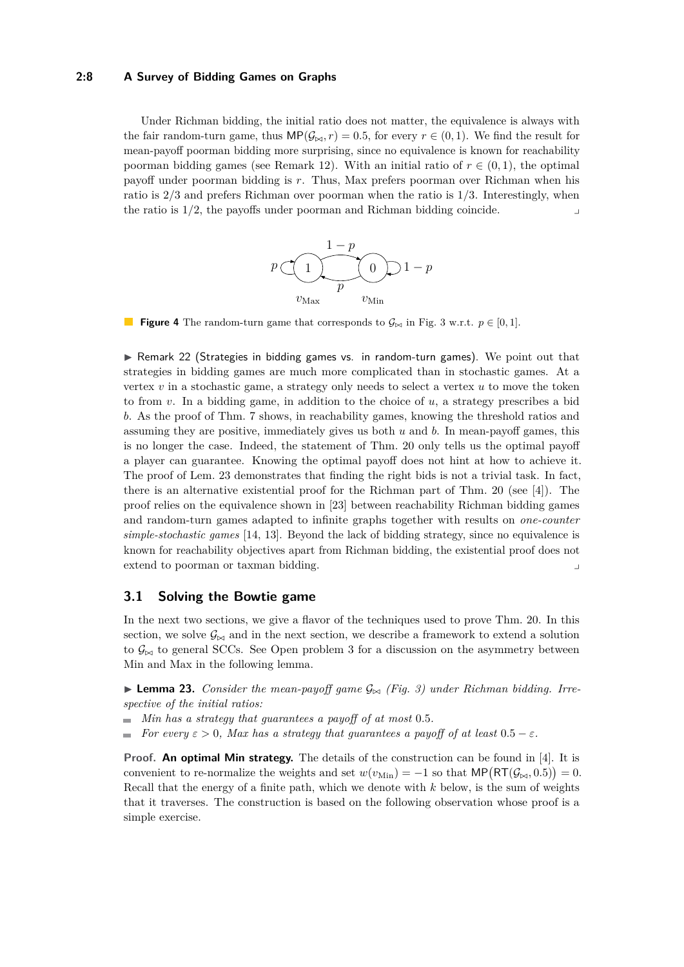## **2:8 A Survey of Bidding Games on Graphs**

Under Richman bidding, the initial ratio does not matter, the equivalence is always with the fair random-turn game, thus  $\mathsf{MP}(\mathcal{G}_{\bowtie}, r) = 0.5$ , for every  $r \in (0, 1)$ . We find the result for mean-payoff poorman bidding more surprising, since no equivalence is known for reachability poorman bidding games (see Remark [12\)](#page-4-2). With an initial ratio of  $r \in (0,1)$ , the optimal payoff under poorman bidding is *r*. Thus, Max prefers poorman over Richman when his ratio is 2*/*3 and prefers Richman over poorman when the ratio is 1*/*3. Interestingly, when the ratio is  $1/2$ , the payoffs under poorman and Richman bidding coincide.



<span id="page-7-0"></span>**Figure 4** The random-turn game that corresponds to  $\mathcal{G}_{\bowtie}$  in Fig. [3](#page-6-0) w.r.t.  $p \in [0, 1]$ .

 $\triangleright$  Remark 22 (Strategies in bidding games vs. in random-turn games). We point out that strategies in bidding games are much more complicated than in stochastic games. At a vertex *v* in a stochastic game, a strategy only needs to select a vertex *u* to move the token to from *v*. In a bidding game, in addition to the choice of *u*, a strategy prescribes a bid *b*. As the proof of Thm. [7](#page-3-0) shows, in reachability games, knowing the threshold ratios and assuming they are positive, immediately gives us both *u* and *b*. In mean-payoff games, this is no longer the case. Indeed, the statement of Thm. [20](#page-6-2) only tells us the optimal payoff a player can guarantee. Knowing the optimal payoff does not hint at how to achieve it. The proof of Lem. [23](#page-7-1) demonstrates that finding the right bids is not a trivial task. In fact, there is an alternative existential proof for the Richman part of Thm. [20](#page-6-2) (see [\[4\]](#page-19-2)). The proof relies on the equivalence shown in [\[23\]](#page-20-5) between reachability Richman bidding games and random-turn games adapted to infinite graphs together with results on *one-counter simple-stochastic games* [\[14,](#page-20-13) [13\]](#page-20-14). Beyond the lack of bidding strategy, since no equivalence is known for reachability objectives apart from Richman bidding, the existential proof does not extend to poorman or taxman bidding. y

# **3.1 Solving the Bowtie game**

In the next two sections, we give a flavor of the techniques used to prove Thm. [20.](#page-6-2) In this section, we solve  $\mathcal{G}_{\bowtie}$  and in the next section, we describe a framework to extend a solution to  $\mathcal{G}_{\bowtie}$  to general SCCs. See Open problem [3](#page-12-0) for a discussion on the asymmetry between Min and Max in the following lemma.

<span id="page-7-1"></span>**Lemma 23.** *Consider the mean-payoff game*  $\mathcal{G}_{\bowtie}$  (Fig. [3\)](#page-6-0) *under Richman bidding. Irrespective of the initial ratios:*

- *Min has a strategy that guarantees a payoff of at most* 0*.*5*.* m.
- *For every*  $\varepsilon > 0$ *, Max has a strategy that quarantees a payoff of at least*  $0.5 \varepsilon$ *.*

**Proof. An optimal Min strategy.** The details of the construction can be found in [\[4\]](#page-19-2). It is convenient to re-normalize the weights and set  $w(v_{\text{Min}}) = -1$  so that  $\text{MP}(\text{RT}(\mathcal{G}_{\bowtie}, 0.5)) = 0$ . Recall that the energy of a finite path, which we denote with *k* below, is the sum of weights that it traverses. The construction is based on the following observation whose proof is a simple exercise.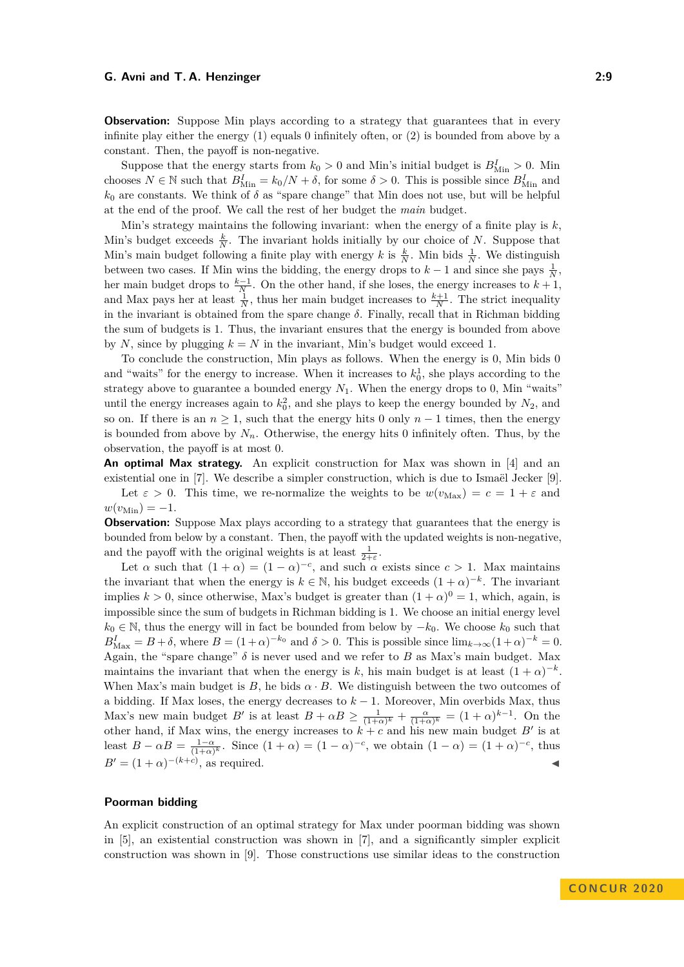**Observation:** Suppose Min plays according to a strategy that guarantees that in every infinite play either the energy (1) equals 0 infinitely often, or (2) is bounded from above by a constant. Then, the payoff is non-negative.

Suppose that the energy starts from  $k_0 > 0$  and Min's initial budget is  $B_{\text{Min}}^I > 0$ . Min chooses  $N \in \mathbb{N}$  such that  $B_{\text{Min}}^I = k_0/N + \delta$ , for some  $\delta > 0$ . This is possible since  $B_{\text{Min}}^I$  and  $k_0$  are constants. We think of  $\delta$  as "spare change" that Min does not use, but will be helpful at the end of the proof. We call the rest of her budget the *main* budget.

Min's strategy maintains the following invariant: when the energy of a finite play is *k*, Min's budget exceeds  $\frac{k}{N}$ . The invariant holds initially by our choice of *N*. Suppose that Min's main budget following a finite play with energy *k* is  $\frac{k}{N}$ . Min bids  $\frac{1}{N}$ . We distinguish between two cases. If Min wins the bidding, the energy drops to  $k-1$  and since she pays  $\frac{1}{N}$ , her main budget drops to  $\frac{k-1}{N}$ . On the other hand, if she loses, the energy increases to  $k+1$ , and Max pays her at least  $\frac{1}{N}$ , thus her main budget increases to  $\frac{k+1}{N}$ . The strict inequality in the invariant is obtained from the spare change  $\delta$ . Finally, recall that in Richman bidding the sum of budgets is 1. Thus, the invariant ensures that the energy is bounded from above by *N*, since by plugging  $k = N$  in the invariant, Min's budget would exceed 1.

To conclude the construction, Min plays as follows. When the energy is 0, Min bids 0 and "waits" for the energy to increase. When it increases to  $k_0^1$ , she plays according to the strategy above to guarantee a bounded energy  $N_1$ . When the energy drops to 0, Min "waits" until the energy increases again to  $k_0^2$ , and she plays to keep the energy bounded by  $N_2$ , and so on. If there is an  $n \geq 1$ , such that the energy hits 0 only  $n-1$  times, then the energy is bounded from above by  $N_n$ . Otherwise, the energy hits 0 infinitely often. Thus, by the observation, the payoff is at most 0.

**An optimal Max strategy.** An explicit construction for Max was shown in [\[4\]](#page-19-2) and an existential one in [\[7\]](#page-20-8). We describe a simpler construction, which is due to Ismaël Jecker [\[9\]](#page-20-15).

Let  $\varepsilon > 0$ . This time, we re-normalize the weights to be  $w(v_{\text{Max}}) = c = 1 + \varepsilon$  and  $w(v_{\text{Min}}) = -1.$ 

**Observation:** Suppose Max plays according to a strategy that guarantees that the energy is bounded from below by a constant. Then, the payoff with the updated weights is non-negative, and the payoff with the original weights is at least  $\frac{1}{2+\epsilon}$ .

Let  $\alpha$  such that  $(1 + \alpha) = (1 - \alpha)^{-c}$ , and such  $\alpha$  exists since  $c > 1$ . Max maintains the invariant that when the energy is  $k \in \mathbb{N}$ , his budget exceeds  $(1 + \alpha)^{-k}$ . The invariant implies  $k > 0$ , since otherwise, Max's budget is greater than  $(1 + \alpha)^0 = 1$ , which, again, is impossible since the sum of budgets in Richman bidding is 1. We choose an initial energy level  $k_0$  ∈ N, thus the energy will in fact be bounded from below by  $-k_0$ . We choose  $k_0$  such that  $B_{\text{Max}}^I = B + \delta$ , where  $B = (1 + \alpha)^{-k_0}$  and  $\delta > 0$ . This is possible since  $\lim_{k \to \infty} (1 + \alpha)^{-k} = 0$ . Again, the "spare change" *δ* is never used and we refer to *B* as Max's main budget. Max maintains the invariant that when the energy is *k*, his main budget is at least  $(1 + \alpha)^{-k}$ . When Max's main budget is *B*, he bids  $\alpha \cdot B$ . We distinguish between the two outcomes of a bidding. If Max loses, the energy decreases to *k* − 1. Moreover, Min overbids Max, thus Max's new main budget *B*<sup>*'*</sup> is at least  $B + \alpha B \ge \frac{1}{(1+\alpha)^k} + \frac{\alpha}{(1+\alpha)^k} = (1+\alpha)^{k-1}$ . On the other hand, if Max wins, the energy increases to  $k + c$  and his new main budget  $B'$  is at least  $B - \alpha B = \frac{1-\alpha}{(1+\alpha)^k}$ . Since  $(1+\alpha) = (1-\alpha)^{-c}$ , we obtain  $(1-\alpha) = (1+\alpha)^{-c}$ , thus  $B' = (1 + \alpha)^{-(k+c)}$ , as required.

## **Poorman bidding**

An explicit construction of an optimal strategy for Max under poorman bidding was shown in [\[5\]](#page-20-9), an existential construction was shown in [\[7\]](#page-20-8), and a significantly simpler explicit construction was shown in [\[9\]](#page-20-15). Those constructions use similar ideas to the construction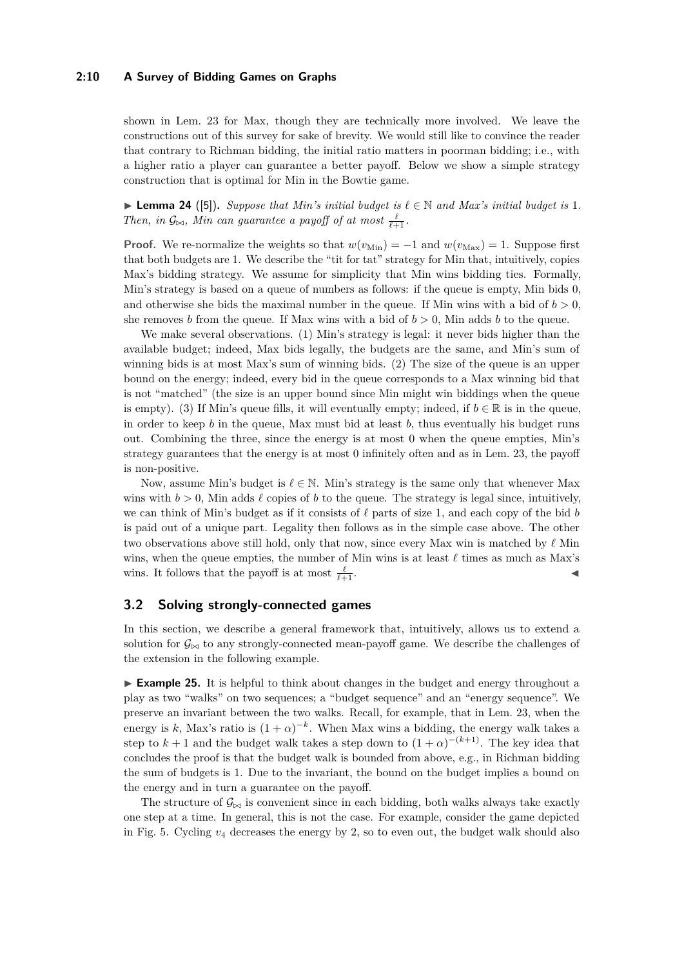#### **2:10 A Survey of Bidding Games on Graphs**

shown in Lem. [23](#page-7-1) for Max, though they are technically more involved. We leave the constructions out of this survey for sake of brevity. We would still like to convince the reader that contrary to Richman bidding, the initial ratio matters in poorman bidding; i.e., with a higher ratio a player can guarantee a better payoff. Below we show a simple strategy construction that is optimal for Min in the Bowtie game.

<span id="page-9-0"></span>▶ **Lemma 24** ([\[5\]](#page-20-9)). *Suppose that Min's initial budget is*  $\ell \in \mathbb{N}$  *and Max's initial budget is* 1*. Then, in*  $\mathcal{G}_{\bowtie}$ *, Min can guarantee a payoff of at most*  $\frac{\ell}{\ell+1}$ *.* 

**Proof.** We re-normalize the weights so that  $w(v_{\text{Min}}) = -1$  and  $w(v_{\text{Max}}) = 1$ . Suppose first that both budgets are 1. We describe the "tit for tat" strategy for Min that, intuitively, copies Max's bidding strategy. We assume for simplicity that Min wins bidding ties. Formally, Min's strategy is based on a queue of numbers as follows: if the queue is empty, Min bids 0, and otherwise she bids the maximal number in the queue. If Min wins with a bid of  $b > 0$ , she removes *b* from the queue. If Max wins with a bid of  $b > 0$ , Min adds *b* to the queue.

We make several observations. (1) Min's strategy is legal: it never bids higher than the available budget; indeed, Max bids legally, the budgets are the same, and Min's sum of winning bids is at most Max's sum of winning bids. (2) The size of the queue is an upper bound on the energy; indeed, every bid in the queue corresponds to a Max winning bid that is not "matched" (the size is an upper bound since Min might win biddings when the queue is empty). (3) If Min's queue fills, it will eventually empty; indeed, if  $b \in \mathbb{R}$  is in the queue, in order to keep  $b$  in the queue, Max must bid at least  $b$ , thus eventually his budget runs out. Combining the three, since the energy is at most 0 when the queue empties, Min's strategy guarantees that the energy is at most 0 infinitely often and as in Lem. [23,](#page-7-1) the payoff is non-positive.

Now, assume Min's budget is  $\ell \in \mathbb{N}$ . Min's strategy is the same only that whenever Max wins with  $b > 0$ , Min adds  $\ell$  copies of  $b$  to the queue. The strategy is legal since, intuitively, we can think of Min's budget as if it consists of  $\ell$  parts of size 1, and each copy of the bid *b* is paid out of a unique part. Legality then follows as in the simple case above. The other two observations above still hold, only that now, since every Max win is matched by  $\ell$  Min wins, when the queue empties, the number of Min wins is at least  $\ell$  times as much as Max's wins. It follows that the payoff is at most  $\frac{\ell}{\ell+1}$ .  $\frac{\ell}{\ell+1}$ .

## **3.2 Solving strongly-connected games**

In this section, we describe a general framework that, intuitively, allows us to extend a solution for  $\mathcal{G}_{\bowtie}$  to any strongly-connected mean-payoff game. We describe the challenges of the extension in the following example.

► **Example 25.** It is helpful to think about changes in the budget and energy throughout a play as two "walks" on two sequences; a "budget sequence" and an "energy sequence". We preserve an invariant between the two walks. Recall, for example, that in Lem. [23,](#page-7-1) when the energy is k, Max's ratio is  $(1 + \alpha)^{-k}$ . When Max wins a bidding, the energy walk takes a step to  $k+1$  and the budget walk takes a step down to  $(1+\alpha)^{-(k+1)}$ . The key idea that concludes the proof is that the budget walk is bounded from above, e.g., in Richman bidding the sum of budgets is 1. Due to the invariant, the bound on the budget implies a bound on the energy and in turn a guarantee on the payoff.

The structure of  $\mathcal{G}_{\bowtie}$  is convenient since in each bidding, both walks always take exactly one step at a time. In general, this is not the case. For example, consider the game depicted in Fig. [5.](#page-10-0) Cycling *v*<sup>4</sup> decreases the energy by 2, so to even out, the budget walk should also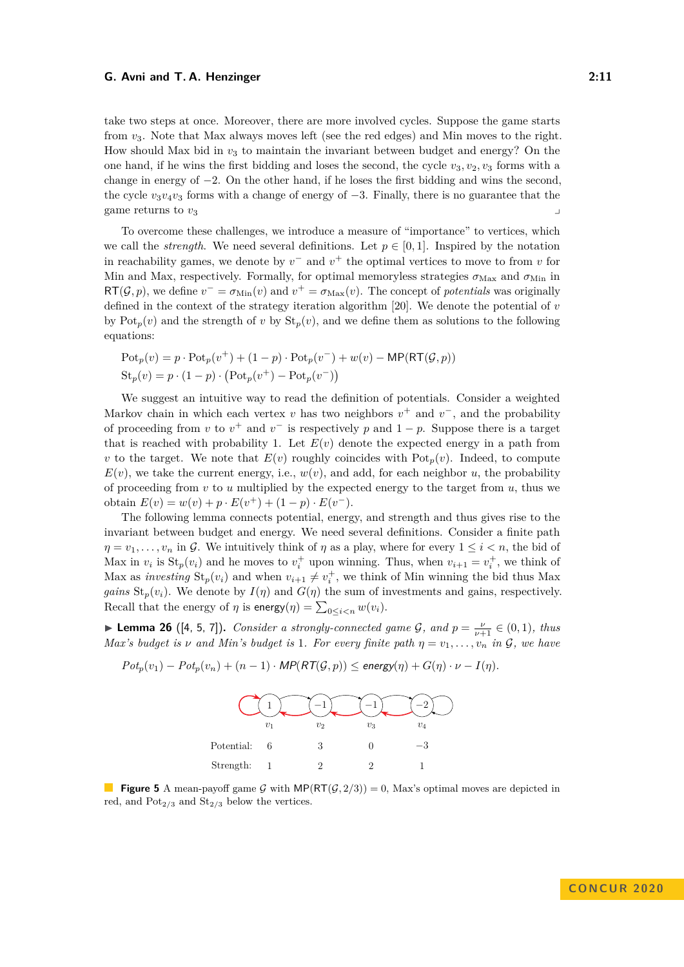take two steps at once. Moreover, there are more involved cycles. Suppose the game starts from *v*3. Note that Max always moves left (see the red edges) and Min moves to the right. How should Max bid in  $v_3$  to maintain the invariant between budget and energy? On the one hand, if he wins the first bidding and loses the second, the cycle  $v_3, v_2, v_3$  forms with a change in energy of −2. On the other hand, if he loses the first bidding and wins the second, the cycle  $v_3v_4v_3$  forms with a change of energy of  $-3$ . Finally, there is no guarantee that the game returns to *v*<sup>3</sup> y

To overcome these challenges, we introduce a measure of "importance" to vertices, which we call the *strength*. We need several definitions. Let  $p \in [0,1]$ . Inspired by the notation in reachability games, we denote by  $v^-$  and  $v^+$  the optimal vertices to move to from  $v$  for Min and Max, respectively. Formally, for optimal memoryless strategies  $\sigma_{\text{Max}}$  and  $\sigma_{\text{Min}}$  in  $RT(\mathcal{G}, p)$ , we define  $v^- = \sigma_{\text{Min}}(v)$  and  $v^+ = \sigma_{\text{Max}}(v)$ . The concept of *potentials* was originally defined in the context of the strategy iteration algorithm [\[20\]](#page-20-16). We denote the potential of *v* by  $\text{Pot}_p(v)$  and the strength of *v* by  $\text{St}_p(v)$ , and we define them as solutions to the following equations:

$$
Potp(v) = p \cdot Potp(v+) + (1 - p) \cdot Potp(v-) + w(v) - MP(RT(\mathcal{G}, p))
$$
  
St<sub>p</sub>(v) = p \cdot (1 - p) \cdot (Pot<sub>p</sub>(v<sup>+</sup>) - Pot<sub>p</sub>(v<sup>-</sup>))

We suggest an intuitive way to read the definition of potentials. Consider a weighted Markov chain in which each vertex *v* has two neighbors  $v^+$  and  $v^-$ , and the probability of proceeding from *v* to  $v^+$  and  $v^-$  is respectively *p* and  $1 - p$ . Suppose there is a target that is reached with probability 1. Let  $E(v)$  denote the expected energy in a path from *v* to the target. We note that  $E(v)$  roughly coincides with  $Pot_p(v)$ . Indeed, to compute  $E(v)$ , we take the current energy, i.e.,  $w(v)$ , and add, for each neighbor *u*, the probability of proceeding from *v* to *u* multiplied by the expected energy to the target from *u*, thus we obtain  $E(v) = w(v) + p \cdot E(v^+) + (1 - p) \cdot E(v^-)$ .

The following lemma connects potential, energy, and strength and thus gives rise to the invariant between budget and energy. We need several definitions. Consider a finite path  $\eta = v_1, \ldots, v_n$  in G. We intuitively think of  $\eta$  as a play, where for every  $1 \leq i < n$ , the bid of Max in  $v_i$  is  $St_p(v_i)$  and he moves to  $v_i^+$  upon winning. Thus, when  $v_{i+1} = v_i^+$ , we think of Max as *investing*  $\text{St}_p(v_i)$  and when  $v_{i+1} \neq v_i^+$ , we think of Min winning the bid thus Max *gains*  $\text{St}_p(v_i)$ . We denote by  $I(\eta)$  and  $G(\eta)$  the sum of investments and gains, respectively. Recall that the energy of  $\eta$  is energy( $\eta$ ) =  $\sum_{0 \leq i < n} w(v_i)$ .

<span id="page-10-1"></span>**Lemma 26** ([\[4,](#page-19-2) [5,](#page-20-9) [7\]](#page-20-8)). *Consider a strongly-connected game G, and*  $p = \frac{\nu}{\nu+1} \in (0,1)$ *, thus Max's budget is*  $\nu$  *and Min's budget is* 1*. For every finite path*  $\eta = v_1, \ldots, v_n$  *in*  $\mathcal{G}$ *, we have* 



<span id="page-10-0"></span> $Pot_p(v_1) - Pot_p(v_n) + (n-1) \cdot MP(RT(\mathcal{G}, p)) \le$  energy( $\eta$ ) +  $G(\eta) \cdot \nu - I(\eta)$ .

**Figure 5** A mean-payoff game G with  $MP(RT(G, 2/3)) = 0$ , Max's optimal moves are depicted in red, and  $Pot_{2/3}$  and  $St_{2/3}$  below the vertices.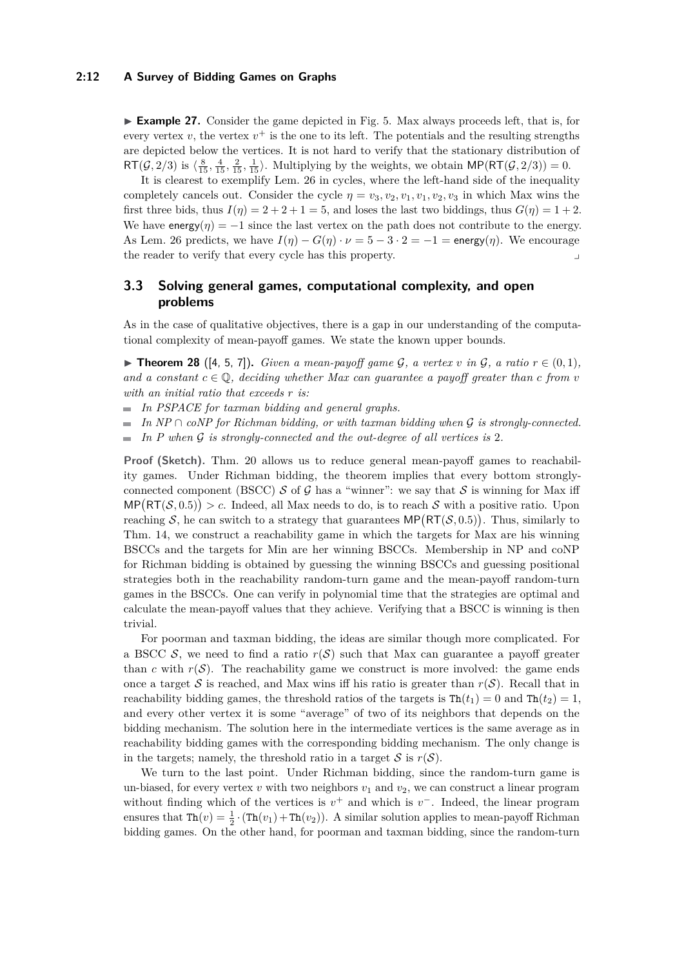#### **2:12 A Survey of Bidding Games on Graphs**

► **Example 27.** Consider the game depicted in Fig. [5.](#page-10-0) Max always proceeds left, that is, for every vertex  $v$ , the vertex  $v^+$  is the one to its left. The potentials and the resulting strengths are depicted below the vertices. It is not hard to verify that the stationary distribution of  $RT(\mathcal{G}, 2/3)$  is  $\{\frac{8}{15}, \frac{4}{15}, \frac{2}{15}, \frac{1}{15}\}$ . Multiplying by the weights, we obtain  $MP(RT(\mathcal{G}, 2/3)) = 0$ .

It is clearest to exemplify Lem. [26](#page-10-1) in cycles, where the left-hand side of the inequality completely cancels out. Consider the cycle  $\eta = v_3, v_2, v_1, v_1, v_2, v_3$  in which Max wins the first three bids, thus  $I(\eta) = 2 + 2 + 1 = 5$ , and loses the last two biddings, thus  $G(\eta) = 1 + 2$ . We have energy( $\eta$ ) =  $-1$  since the last vertex on the path does not contribute to the energy. As Lem. [26](#page-10-1) predicts, we have  $I(\eta) - G(\eta) \cdot \nu = 5 - 3 \cdot 2 = -1 = \text{energy}(\eta)$ . We encourage the reader to verify that every cycle has this property.

# **3.3 Solving general games, computational complexity, and open problems**

As in the case of qualitative objectives, there is a gap in our understanding of the computational complexity of mean-payoff games. We state the known upper bounds.

<span id="page-11-0"></span>▶ **Theorem 28** ([\[4,](#page-19-2) [5,](#page-20-9) [7\]](#page-20-8)). *Given a mean-payoff game G*, a vertex *v* in G, a ratio  $r \in (0,1)$ , *and a constant*  $c \in \mathbb{Q}$ , deciding whether Max can guarantee a payoff greater than c from v *with an initial ratio that exceeds r is:*

*In PSPACE for taxman bidding and general graphs.*

*In NP* ∩ *coNP for Richman bidding, or with taxman bidding when* G *is strongly-connected.*  $\blacksquare$ 

*In P when* G *is strongly-connected and the out-degree of all vertices is* 2*.*  $\overline{\phantom{0}}$ 

**Proof (Sketch).** Thm. [20](#page-6-2) allows us to reduce general mean-payoff games to reachability games. Under Richman bidding, the theorem implies that every bottom stronglyconnected component (BSCC) S of G has a "winner": we say that S is winning for Max iff  $\text{MP}(\text{RT}(\mathcal{S},0.5)) > c$ . Indeed, all Max needs to do, is to reach S with a positive ratio. Upon reaching S, he can switch to a strategy that guarantees  $\text{MP}(\text{RT}(\mathcal{S}, 0.5))$ . Thus, similarly to Thm. [14,](#page-4-3) we construct a reachability game in which the targets for Max are his winning BSCCs and the targets for Min are her winning BSCCs. Membership in NP and coNP for Richman bidding is obtained by guessing the winning BSCCs and guessing positional strategies both in the reachability random-turn game and the mean-payoff random-turn games in the BSCCs. One can verify in polynomial time that the strategies are optimal and calculate the mean-payoff values that they achieve. Verifying that a BSCC is winning is then trivial.

For poorman and taxman bidding, the ideas are similar though more complicated. For a BSCC  $S$ , we need to find a ratio  $r(S)$  such that Max can guarantee a payoff greater than *c* with  $r(S)$ . The reachability game we construct is more involved: the game ends once a target S is reached, and Max wins iff his ratio is greater than  $r(S)$ . Recall that in reachability bidding games, the threshold ratios of the targets is  $\text{Th}(t_1) = 0$  and  $\text{Th}(t_2) = 1$ , and every other vertex it is some "average" of two of its neighbors that depends on the bidding mechanism. The solution here in the intermediate vertices is the same average as in reachability bidding games with the corresponding bidding mechanism. The only change is in the targets; namely, the threshold ratio in a target  $S$  is  $r(S)$ .

We turn to the last point. Under Richman bidding, since the random-turn game is un-biased, for every vertex  $v$  with two neighbors  $v_1$  and  $v_2$ , we can construct a linear program without finding which of the vertices is  $v^+$  and which is  $v^-$ . Indeed, the linear program ensures that  $\text{Th}(v) = \frac{1}{2} \cdot (\text{Th}(v_1) + \text{Th}(v_2))$ . A similar solution applies to mean-payoff Richman bidding games. On the other hand, for poorman and taxman bidding, since the random-turn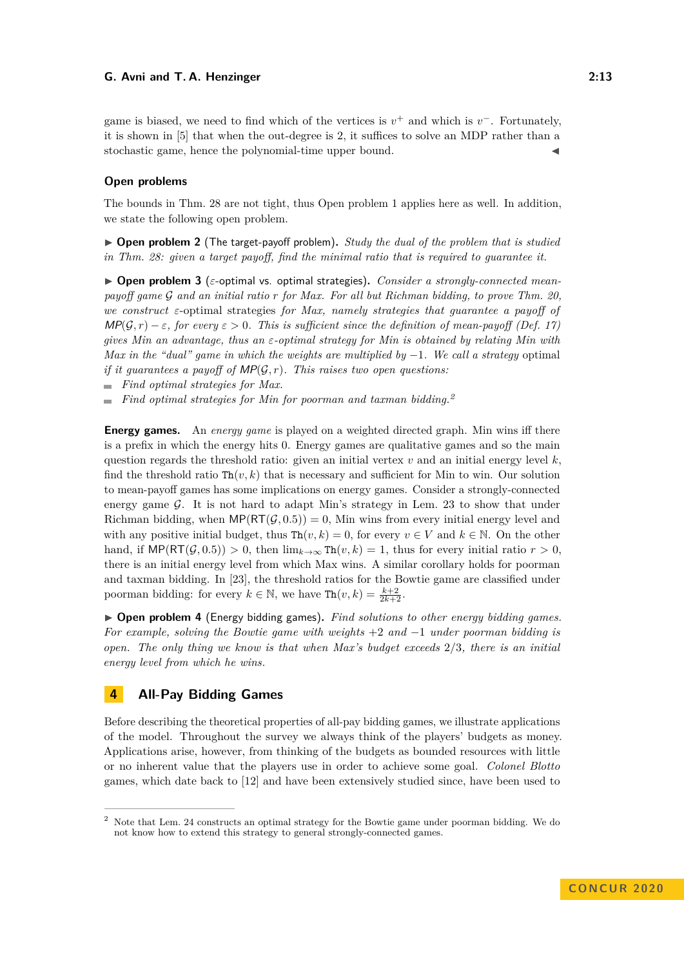game is biased, we need to find which of the vertices is  $v^+$  and which is  $v^-$ . Fortunately, it is shown in [\[5\]](#page-20-9) that when the out-degree is 2, it suffices to solve an MDP rather than a stochastic game, hence the polynomial-time upper bound.

## **Open problems**

The bounds in Thm. [28](#page-11-0) are not tight, thus Open problem [1](#page-5-0) applies here as well. In addition, we state the following open problem.

▶ **Open problem 2** (The target-payoff problem). *Study the dual of the problem that is studied in Thm. [28:](#page-11-0) given a target payoff, find the minimal ratio that is required to guarantee it.*

<span id="page-12-0"></span> $\triangleright$  **Open problem 3** ( $\varepsilon$ -optimal vs. optimal strategies). *Consider a strongly-connected meanpayoff game* G *and an initial ratio r for Max. For all but Richman bidding, to prove Thm. [20,](#page-6-2) we construct ε*-optimal strategies *for Max, namely strategies that guarantee a payoff of*  $MP(G,r) - \varepsilon$ , for every  $\varepsilon > 0$ . This is sufficient since the definition of mean-payoff (Def. [17\)](#page-6-3) *gives Min an advantage, thus an ε-optimal strategy for Min is obtained by relating Min with Max in the "dual" game in which the weights are multiplied by* −1*. We call a strategy* optimal *if it guarantees a payoff of* MP(G*, r*)*. This raises two open questions:*

*Find optimal strategies for Max.*

*Find optimal strategies for Min for poorman and taxman bidding.[2](#page-12-1)*  $\sim$ 

**Energy games.** An *energy game* is played on a weighted directed graph. Min wins iff there is a prefix in which the energy hits 0. Energy games are qualitative games and so the main question regards the threshold ratio: given an initial vertex  $v$  and an initial energy level  $k$ , find the threshold ratio  $\text{Th}(v, k)$  that is necessary and sufficient for Min to win. Our solution to mean-payoff games has some implications on energy games. Consider a strongly-connected energy game  $\mathcal G$ . It is not hard to adapt Min's strategy in Lem. [23](#page-7-1) to show that under Richman bidding, when  $\mathsf{MP}(\mathsf{RT}(\mathcal{G}, 0.5)) = 0$ , Min wins from every initial energy level and with any positive initial budget, thus  $\text{Th}(v, k) = 0$ , for every  $v \in V$  and  $k \in \mathbb{N}$ . On the other hand, if  $\mathsf{MP}(\mathsf{RT}(\mathcal{G}, 0.5)) > 0$ , then  $\lim_{k \to \infty} \mathsf{Th}(v, k) = 1$ , thus for every initial ratio  $r > 0$ , there is an initial energy level from which Max wins. A similar corollary holds for poorman and taxman bidding. In [\[23\]](#page-20-5), the threshold ratios for the Bowtie game are classified under poorman bidding: for every  $k \in \mathbb{N}$ , we have  $\text{Th}(v, k) = \frac{k+2}{2k+2}$ .

▶ **Open problem 4** (Energy bidding games). *Find solutions to other energy bidding games. For example, solving the Bowtie game with weights* +2 *and* −1 *under poorman bidding is open. The only thing we know is that when Max's budget exceeds* 2*/*3*, there is an initial energy level from which he wins.*

# <span id="page-12-2"></span>**4 All-Pay Bidding Games**

Before describing the theoretical properties of all-pay bidding games, we illustrate applications of the model. Throughout the survey we always think of the players' budgets as money. Applications arise, however, from thinking of the budgets as bounded resources with little or no inherent value that the players use in order to achieve some goal. *Colonel Blotto* games, which date back to [\[12\]](#page-20-17) and have been extensively studied since, have been used to

<span id="page-12-1"></span><sup>2</sup> Note that Lem. [24](#page-9-0) constructs an optimal strategy for the Bowtie game under poorman bidding. We do not know how to extend this strategy to general strongly-connected games.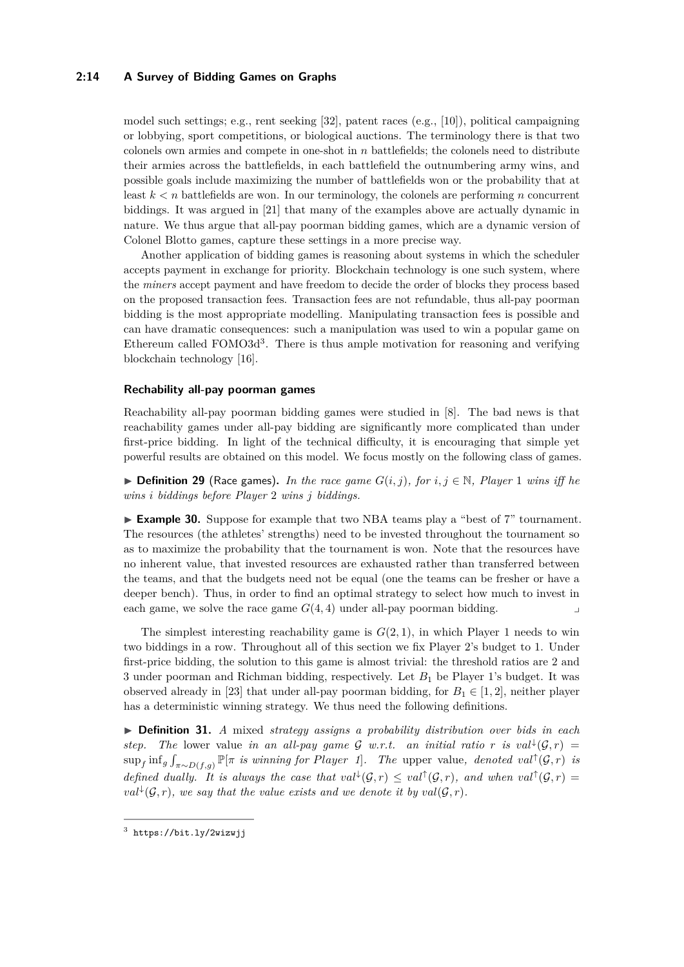### **2:14 A Survey of Bidding Games on Graphs**

model such settings; e.g., rent seeking [\[32\]](#page-20-18), patent races (e.g., [\[10\]](#page-20-19)), political campaigning or lobbying, sport competitions, or biological auctions. The terminology there is that two colonels own armies and compete in one-shot in *n* battlefields; the colonels need to distribute their armies across the battlefields, in each battlefield the outnumbering army wins, and possible goals include maximizing the number of battlefields won or the probability that at least  $k < n$  battlefields are won. In our terminology, the colonels are performing *n* concurrent biddings. It was argued in [\[21\]](#page-20-20) that many of the examples above are actually dynamic in nature. We thus argue that all-pay poorman bidding games, which are a dynamic version of Colonel Blotto games, capture these settings in a more precise way.

Another application of bidding games is reasoning about systems in which the scheduler accepts payment in exchange for priority. Blockchain technology is one such system, where the *miners* accept payment and have freedom to decide the order of blocks they process based on the proposed transaction fees. Transaction fees are not refundable, thus all-pay poorman bidding is the most appropriate modelling. Manipulating transaction fees is possible and can have dramatic consequences: such a manipulation was used to win a popular game on Ethereum called FOMO[3](#page-13-0)d<sup>3</sup>. There is thus ample motivation for reasoning and verifying blockchain technology [\[16\]](#page-20-21).

#### **Rechability all-pay poorman games**

Reachability all-pay poorman bidding games were studied in [\[8\]](#page-20-22). The bad news is that reachability games under all-pay bidding are significantly more complicated than under first-price bidding. In light of the technical difficulty, it is encouraging that simple yet powerful results are obtained on this model. We focus mostly on the following class of games.

▶ **Definition 29** (Race games). In the race game  $G(i, j)$ , for  $i, j \in \mathbb{N}$ , Player 1 wins iff he *wins i biddings before Player* 2 *wins j biddings.*

► **Example 30.** Suppose for example that two NBA teams play a "best of 7" tournament. The resources (the athletes' strengths) need to be invested throughout the tournament so as to maximize the probability that the tournament is won. Note that the resources have no inherent value, that invested resources are exhausted rather than transferred between the teams, and that the budgets need not be equal (one the teams can be fresher or have a deeper bench). Thus, in order to find an optimal strategy to select how much to invest in each game, we solve the race game  $G(4,4)$  under all-pay poorman bidding.

The simplest interesting reachability game is  $G(2,1)$ , in which Player 1 needs to win two biddings in a row. Throughout all of this section we fix Player 2's budget to 1. Under first-price bidding, the solution to this game is almost trivial: the threshold ratios are 2 and 3 under poorman and Richman bidding, respectively. Let *B*<sup>1</sup> be Player 1's budget. It was observed already in [\[23\]](#page-20-5) that under all-pay poorman bidding, for  $B_1 \in [1,2]$ , neither player has a deterministic winning strategy. We thus need the following definitions.

▶ **Definition 31.** *A* mixed *strategy assigns a probability distribution over bids in each step.* The lower value *in an all-pay game*  $\mathcal{G}$  *w.r.t. an initial ratio r is val*<sup> $\downarrow$ </sup>( $\mathcal{G}, r$ ) =  $\sup_f \inf_g \int_{\pi \sim D(f,g)} \mathbb{P}[\pi]$  *is winning for Player 1*. The upper value, denoted val<sup>†</sup>( $\mathcal{G}, r$ ) *is defined dually. It is always the case that*  $val^{\downarrow}(\mathcal{G}, r) \leq val^{\uparrow}(\mathcal{G}, r)$ , and when  $val^{\uparrow}(\mathcal{G}, r) =$  $val^{\downarrow}(\mathcal{G}, r)$ , we say that the value exists and we denote it by  $val(\mathcal{G}, r)$ .

<span id="page-13-0"></span> $^3$  <https://bit.ly/2wizwjj>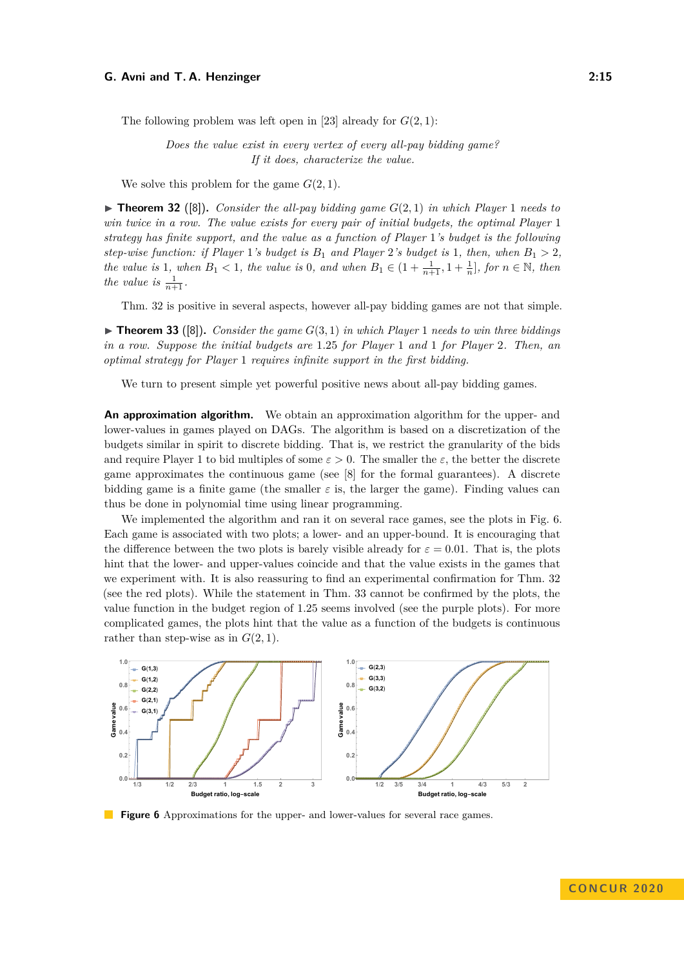The following problem was left open in [\[23\]](#page-20-5) already for *G*(2*,* 1):

*Does the value exist in every vertex of every all-pay bidding game? If it does, characterize the value.*

We solve this problem for the game  $G(2, 1)$ .

<span id="page-14-0"></span> $\triangleright$  **Theorem 32** ([\[8\]](#page-20-22)). *Consider the all-pay bidding game*  $G(2,1)$  *in which Player* 1 *needs to win twice in a row. The value exists for every pair of initial budgets, the optimal Player* 1 *strategy has finite support, and the value as a function of Player* 1*'s budget is the following step-wise function: if Player* 1*'s budget is*  $B_1$  *and Player* 2*'s budget is* 1*, then, when*  $B_1 > 2$ *, the value is* 1*, when*  $B_1 < 1$ *, the value is* 0*, and when*  $B_1 \in (1 + \frac{1}{n+1}, 1 + \frac{1}{n}]$ *, for*  $n \in \mathbb{N}$ *, then the value is*  $\frac{1}{n+1}$ *.* 

Thm. [32](#page-14-0) is positive in several aspects, however all-pay bidding games are not that simple.

<span id="page-14-2"></span> $\triangleright$  **Theorem 33** ([\[8\]](#page-20-22)). *Consider the game*  $G(3,1)$  *in which Player* 1 *needs to win three biddings in a row. Suppose the initial budgets are* 1*.*25 *for Player* 1 *and* 1 *for Player* 2*. Then, an optimal strategy for Player* 1 *requires infinite support in the first bidding.*

We turn to present simple yet powerful positive news about all-pay bidding games.

**An approximation algorithm.** We obtain an approximation algorithm for the upper- and lower-values in games played on DAGs. The algorithm is based on a discretization of the budgets similar in spirit to discrete bidding. That is, we restrict the granularity of the bids and require Player 1 to bid multiples of some  $\varepsilon > 0$ . The smaller the  $\varepsilon$ , the better the discrete game approximates the continuous game (see [\[8\]](#page-20-22) for the formal guarantees). A discrete bidding game is a finite game (the smaller  $\varepsilon$  is, the larger the game). Finding values can thus be done in polynomial time using linear programming.

We implemented the algorithm and ran it on several race games, see the plots in Fig. [6.](#page-14-1) Each game is associated with two plots; a lower- and an upper-bound. It is encouraging that the difference between the two plots is barely visible already for  $\varepsilon = 0.01$ . That is, the plots hint that the lower- and upper-values coincide and that the value exists in the games that we experiment with. It is also reassuring to find an experimental confirmation for Thm. [32](#page-14-0) (see the red plots). While the statement in Thm. [33](#page-14-2) cannot be confirmed by the plots, the value function in the budget region of 1*.*25 seems involved (see the purple plots). For more complicated games, the plots hint that the value as a function of the budgets is continuous rather than step-wise as in  $G(2, 1)$ .

<span id="page-14-1"></span>

**Figure 6** Approximations for the upper- and lower-values for several race games.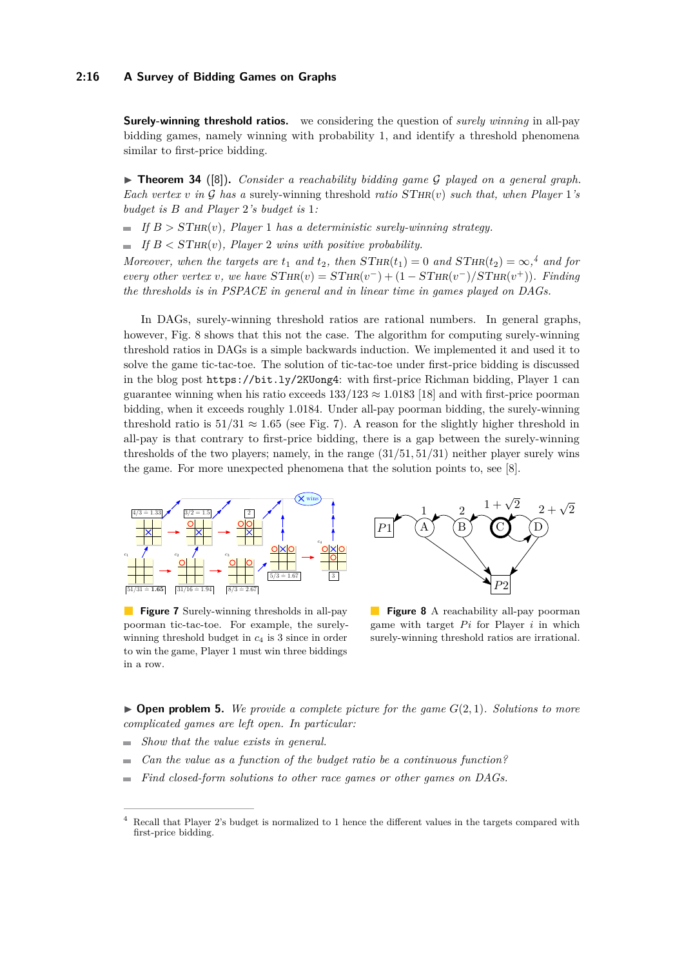#### **2:16 A Survey of Bidding Games on Graphs**

**Surely-winning threshold ratios.** we considering the question of *surely winning* in all-pay bidding games, namely winning with probability 1, and identify a threshold phenomena similar to first-price bidding.

▶ **Theorem 34** ([\[8\]](#page-20-22)). *Consider a reachability bidding game G played on a general graph. Each vertex v* in G has a surely-winning threshold *ratio*  $STHR(v)$  *such that, when Player* 1*'s budget is B and Player* 2*'s budget is* 1*:*

 $\blacksquare$  *If*  $B > \text{STHR}(v)$ , *Player* 1 *has a deterministic surely-winning strategy.* 

 $\blacksquare$  *If*  $B < \text{STHR}(v)$ *, Player* 2 *wins with positive probability.* 

*Moreover, when the targets are*  $t_1$  *and*  $t_2$ *, then*  $STHR(t_1) = 0$  *and*  $STHR(t_2) = \infty$ <sup>[4](#page-15-0)</sup> *and* for *every other vertex v, we have*  $STHR(v) = STHR(v^-) + (1 - STHR(v^-)/STHR(v^+))$ *. Finding the thresholds is in PSPACE in general and in linear time in games played on DAGs.*

In DAGs, surely-winning threshold ratios are rational numbers. In general graphs, however, Fig. [8](#page-15-1) shows that this not the case. The algorithm for computing surely-winning threshold ratios in DAGs is a simple backwards induction. We implemented it and used it to solve the game tic-tac-toe. The solution of tic-tac-toe under first-price bidding is discussed in the blog post <https://bit.ly/2KUong4>: with first-price Richman bidding, Player 1 can guarantee winning when his ratio exceeds  $133/123 \approx 1.0183$  [\[18\]](#page-20-23) and with first-price poorman bidding, when it exceeds roughly 1*.*0184. Under all-pay poorman bidding, the surely-winning threshold ratio is  $51/31 \approx 1.65$  (see Fig. [7\)](#page-15-1). A reason for the slightly higher threshold in all-pay is that contrary to first-price bidding, there is a gap between the surely-winning thresholds of the two players; namely, in the range (31*/*51*,* 51*/*31) neither player surely wins the game. For more unexpected phenomena that the solution points to, see [\[8\]](#page-20-22).

<span id="page-15-1"></span>

**Figure 7** Surely-winning thresholds in all-pay poorman tic-tac-toe. For example, the surelywinning threshold budget in *c*<sup>4</sup> is 3 since in order to win the game, Player 1 must win three biddings in a row.



**Figure 8** A reachability all-pay poorman game with target  $Pi$  for Player  $i$  in which surely-winning threshold ratios are irrational.

 $\triangleright$  **Open problem 5.** We provide a complete picture for the game  $G(2,1)$ *. Solutions to more complicated games are left open. In particular:*

- *Show that the value exists in general.*  $\equiv$
- *Can the value as a function of the budget ratio be a continuous function?*
- *Find closed-form solutions to other race games or other games on DAGs.*  $\overline{\phantom{0}}$

<span id="page-15-0"></span><sup>4</sup> Recall that Player 2's budget is normalized to 1 hence the different values in the targets compared with first-price bidding.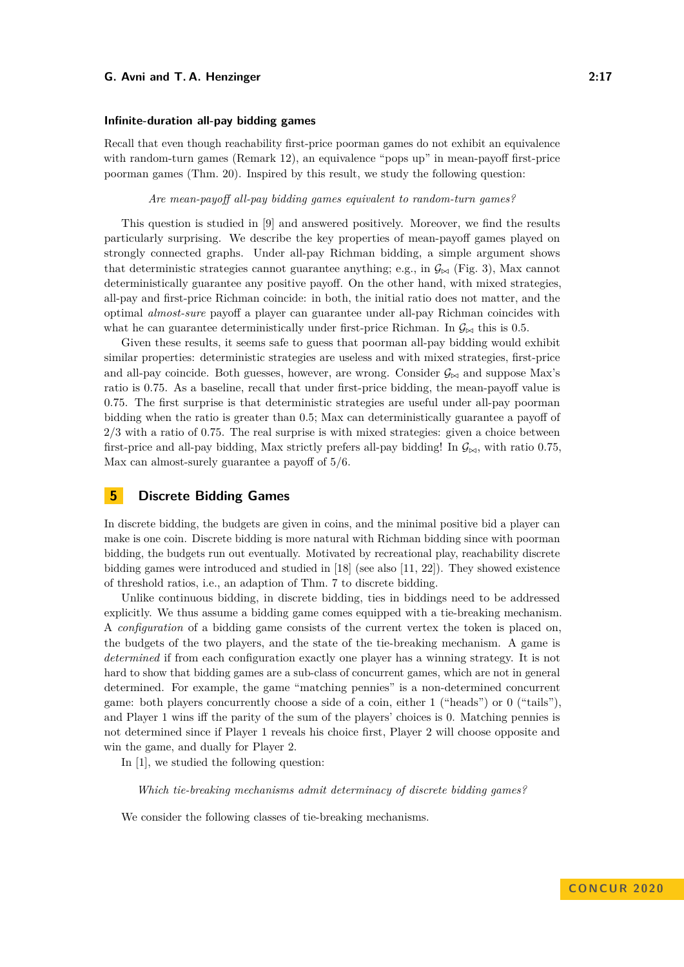#### **Infinite-duration all-pay bidding games**

Recall that even though reachability first-price poorman games do not exhibit an equivalence with random-turn games (Remark [12\)](#page-4-2), an equivalence "pops up" in mean-payoff first-price poorman games (Thm. [20\)](#page-6-2). Inspired by this result, we study the following question:

*Are mean-payoff all-pay bidding games equivalent to random-turn games?*

This question is studied in [\[9\]](#page-20-15) and answered positively. Moreover, we find the results particularly surprising. We describe the key properties of mean-payoff games played on strongly connected graphs. Under all-pay Richman bidding, a simple argument shows that deterministic strategies cannot guarantee anything; e.g., in  $\mathcal{G}_{\bowtie}$  (Fig. [3\)](#page-6-0), Max cannot deterministically guarantee any positive payoff. On the other hand, with mixed strategies, all-pay and first-price Richman coincide: in both, the initial ratio does not matter, and the optimal *almost-sure* payoff a player can guarantee under all-pay Richman coincides with what he can guarantee deterministically under first-price Richman. In  $\mathcal{G}_{\bowtie}$  this is 0.5.

Given these results, it seems safe to guess that poorman all-pay bidding would exhibit similar properties: deterministic strategies are useless and with mixed strategies, first-price and all-pay coincide. Both guesses, however, are wrong. Consider  $\mathcal{G}_{\bowtie}$  and suppose Max's ratio is 0*.*75. As a baseline, recall that under first-price bidding, the mean-payoff value is 0*.*75. The first surprise is that deterministic strategies are useful under all-pay poorman bidding when the ratio is greater than 0*.*5; Max can deterministically guarantee a payoff of 2*/*3 with a ratio of 0*.*75. The real surprise is with mixed strategies: given a choice between first-price and all-pay bidding, Max strictly prefers all-pay bidding! In  $\mathcal{G}_{\bowtie}$ , with ratio 0.75, Max can almost-surely guarantee a payoff of 5*/*6.

# <span id="page-16-0"></span>**5 Discrete Bidding Games**

In discrete bidding, the budgets are given in coins, and the minimal positive bid a player can make is one coin. Discrete bidding is more natural with Richman bidding since with poorman bidding, the budgets run out eventually. Motivated by recreational play, reachability discrete bidding games were introduced and studied in [\[18\]](#page-20-23) (see also [\[11,](#page-20-24) [22\]](#page-20-25)). They showed existence of threshold ratios, i.e., an adaption of Thm. [7](#page-3-0) to discrete bidding.

Unlike continuous bidding, in discrete bidding, ties in biddings need to be addressed explicitly. We thus assume a bidding game comes equipped with a tie-breaking mechanism. A *configuration* of a bidding game consists of the current vertex the token is placed on, the budgets of the two players, and the state of the tie-breaking mechanism. A game is *determined* if from each configuration exactly one player has a winning strategy. It is not hard to show that bidding games are a sub-class of concurrent games, which are not in general determined. For example, the game "matching pennies" is a non-determined concurrent game: both players concurrently choose a side of a coin, either 1 ("heads") or 0 ("tails"), and Player 1 wins iff the parity of the sum of the players' choices is 0. Matching pennies is not determined since if Player 1 reveals his choice first, Player 2 will choose opposite and win the game, and dually for Player 2.

In [\[1\]](#page-19-3), we studied the following question:

*Which tie-breaking mechanisms admit determinacy of discrete bidding games?*

We consider the following classes of tie-breaking mechanisms.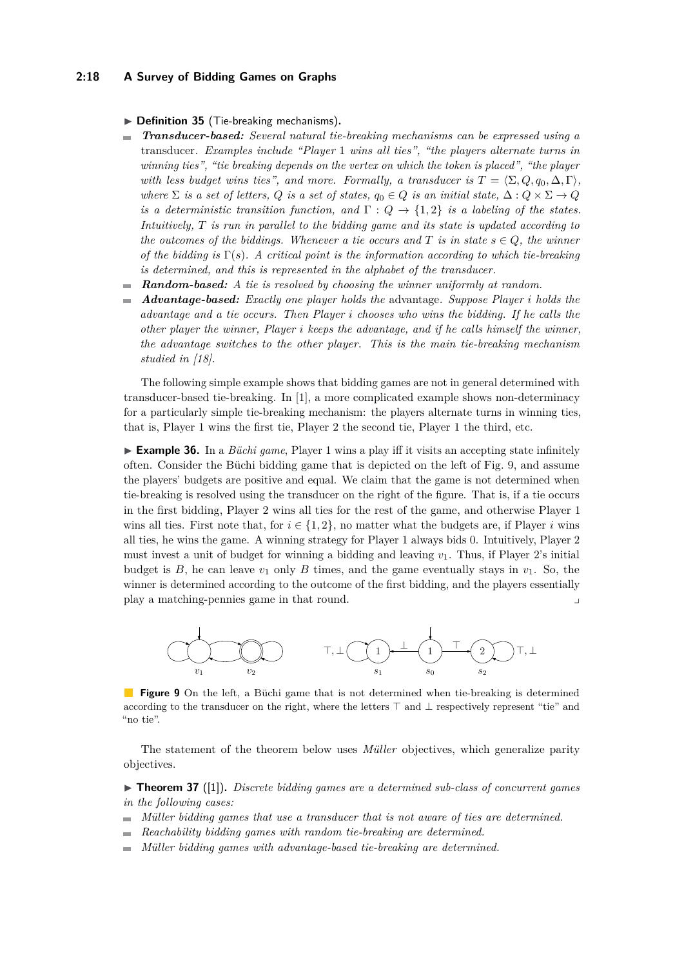#### **2:18 A Survey of Bidding Games on Graphs**

#### ▶ Definition 35 (Tie-breaking mechanisms).

- ÷ *Transducer-based: Several natural tie-breaking mechanisms can be expressed using a* transducer*. Examples include "Player* 1 *wins all ties", "the players alternate turns in winning ties", "tie breaking depends on the vertex on which the token is placed", "the player with less budget wins ties", and more. Formally, a transducer is*  $T = \langle \Sigma, Q, q_0, \Delta, \Gamma \rangle$ , *where*  $\Sigma$  *is a set of letters,*  $Q$  *is a set of states,*  $q_0 \in Q$  *is an initial state,*  $\Delta: Q \times \Sigma \to Q$ *is a deterministic transition function, and*  $\Gamma: Q \to \{1, 2\}$  *is a labeling of the states. Intuitively, T is run in parallel to the bidding game and its state is updated according to the outcomes of the biddings. Whenever a tie occurs and*  $T$  *is in state*  $s \in Q$ *, the winner of the bidding is* Γ(*s*)*. A critical point is the information according to which tie-breaking is determined, and this is represented in the alphabet of the transducer.*
- *Random-based: A tie is resolved by choosing the winner uniformly at random.* ÷.
- *Advantage-based: Exactly one player holds the* advantage*. Suppose Player i holds the*  $\overline{\phantom{a}}$ *advantage and a tie occurs. Then Player i chooses who wins the bidding. If he calls the other player the winner, Player i keeps the advantage, and if he calls himself the winner, the advantage switches to the other player. This is the main tie-breaking mechanism studied in [\[18\]](#page-20-23).*

The following simple example shows that bidding games are not in general determined with transducer-based tie-breaking. In [\[1\]](#page-19-3), a more complicated example shows non-determinacy for a particularly simple tie-breaking mechanism: the players alternate turns in winning ties, that is, Player 1 wins the first tie, Player 2 the second tie, Player 1 the third, etc.

► **Example 36.** In a *Büchi game*, Player 1 wins a play iff it visits an accepting state infinitely often. Consider the Büchi bidding game that is depicted on the left of Fig. [9,](#page-17-0) and assume the players' budgets are positive and equal. We claim that the game is not determined when tie-breaking is resolved using the transducer on the right of the figure. That is, if a tie occurs in the first bidding, Player 2 wins all ties for the rest of the game, and otherwise Player 1 wins all ties. First note that, for  $i \in \{1, 2\}$ , no matter what the budgets are, if Player *i* wins all ties, he wins the game. A winning strategy for Player 1 always bids 0. Intuitively, Player 2 must invest a unit of budget for winning a bidding and leaving *v*1. Thus, if Player 2's initial budget is  $B$ , he can leave  $v_1$  only  $B$  times, and the game eventually stays in  $v_1$ . So, the winner is determined according to the outcome of the first bidding, and the players essentially play a matching-pennies game in that round.

<span id="page-17-0"></span>

**Figure 9** On the left, a Büchi game that is not determined when tie-breaking is determined according to the transducer on the right, where the letters  $\top$  and  $\bot$  respectively represent "tie" and "no tie".

The statement of the theorem below uses *Müller* objectives, which generalize parity objectives.

▶ **Theorem 37** ([\[1\]](#page-19-3)). *Discrete bidding games are a determined sub-class of concurrent games in the following cases:*

- *Müller bidding games that use a transducer that is not aware of ties are determined.*  $\blacksquare$
- *Reachability bidding games with random tie-breaking are determined.*  $\rightarrow$
- *Müller bidding games with advantage-based tie-breaking are determined.*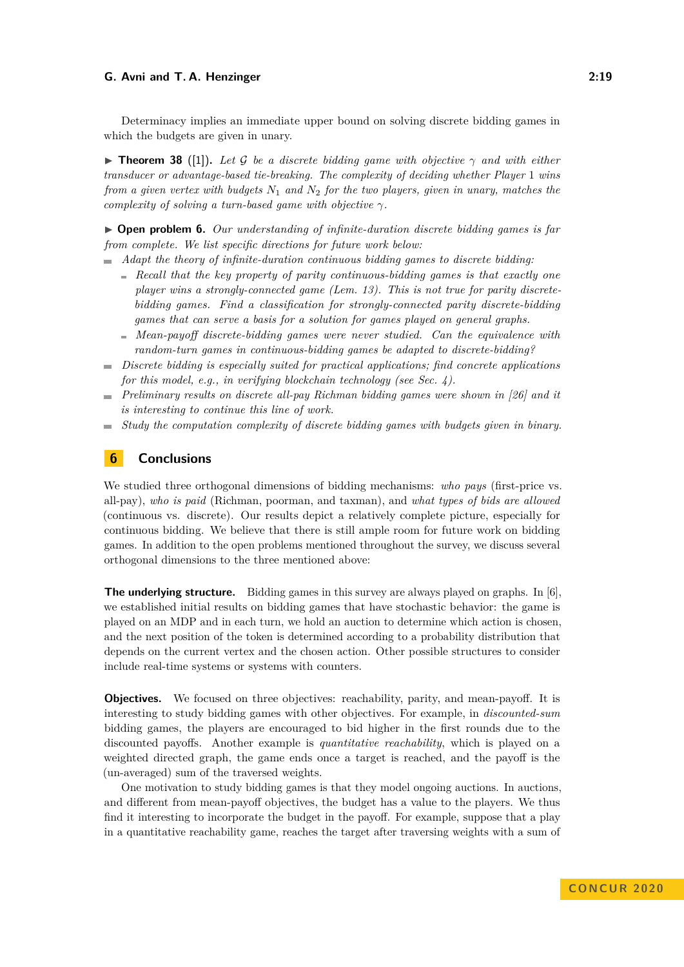Determinacy implies an immediate upper bound on solving discrete bidding games in which the budgets are given in unary.

**Find Theorem 38** ([\[1\]](#page-19-3)). Let G be a discrete bidding game with objective  $\gamma$  and with either *transducer or advantage-based tie-breaking. The complexity of deciding whether Player* 1 *wins from a given vertex with budgets N*<sup>1</sup> *and N*<sup>2</sup> *for the two players, given in unary, matches the complexity of solving a turn-based game with objective γ.*

I **Open problem 6.** *Our understanding of infinite-duration discrete bidding games is far from complete. We list specific directions for future work below:*

- *Adapt the theory of infinite-duration continuous bidding games to discrete bidding:*
	- *Recall that the key property of parity continuous-bidding games is that exactly one player wins a strongly-connected game (Lem. [13\)](#page-4-0). This is not true for parity discretebidding games. Find a classification for strongly-connected parity discrete-bidding games that can serve a basis for a solution for games played on general graphs.*
	- *Mean-payoff discrete-bidding games were never studied. Can the equivalence with random-turn games in continuous-bidding games be adapted to discrete-bidding?*
- *Discrete bidding is especially suited for practical applications; find concrete applications for this model, e.g., in verifying blockchain technology (see Sec. [4\)](#page-12-2).*
- **Preliminary results on discrete all-pay Richman bidding games were shown in [\[26\]](#page-20-26) and it** *is interesting to continue this line of work.*
- *Study the computation complexity of discrete bidding games with budgets given in binary.*  $\sim$

# **6 Conclusions**

We studied three orthogonal dimensions of bidding mechanisms: *who pays* (first-price vs. all-pay), *who is paid* (Richman, poorman, and taxman), and *what types of bids are allowed* (continuous vs. discrete). Our results depict a relatively complete picture, especially for continuous bidding. We believe that there is still ample room for future work on bidding games. In addition to the open problems mentioned throughout the survey, we discuss several orthogonal dimensions to the three mentioned above:

**The underlying structure.** Bidding games in this survey are always played on graphs. In [\[6\]](#page-20-27), we established initial results on bidding games that have stochastic behavior: the game is played on an MDP and in each turn, we hold an auction to determine which action is chosen, and the next position of the token is determined according to a probability distribution that depends on the current vertex and the chosen action. Other possible structures to consider include real-time systems or systems with counters.

**Objectives.** We focused on three objectives: reachability, parity, and mean-payoff. It is interesting to study bidding games with other objectives. For example, in *discounted-sum* bidding games, the players are encouraged to bid higher in the first rounds due to the discounted payoffs. Another example is *quantitative reachability*, which is played on a weighted directed graph, the game ends once a target is reached, and the payoff is the (un-averaged) sum of the traversed weights.

One motivation to study bidding games is that they model ongoing auctions. In auctions, and different from mean-payoff objectives, the budget has a value to the players. We thus find it interesting to incorporate the budget in the payoff. For example, suppose that a play in a quantitative reachability game, reaches the target after traversing weights with a sum of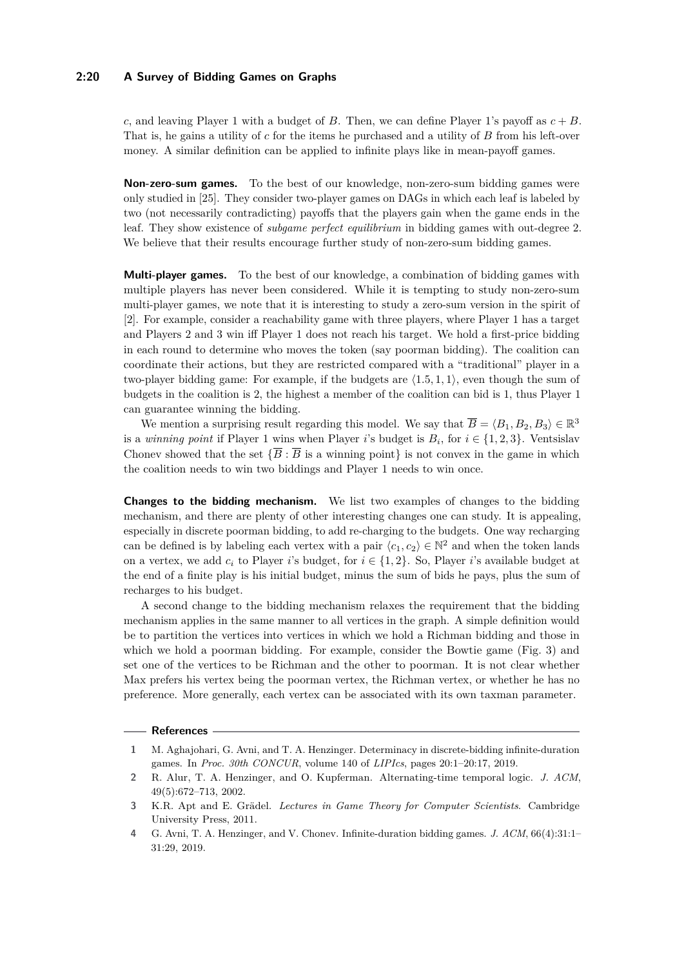## **2:20 A Survey of Bidding Games on Graphs**

*c*, and leaving Player 1 with a budget of *B*. Then, we can define Player 1's payoff as  $c + B$ . That is, he gains a utility of *c* for the items he purchased and a utility of *B* from his left-over money. A similar definition can be applied to infinite plays like in mean-payoff games.

**Non-zero-sum games.** To the best of our knowledge, non-zero-sum bidding games were only studied in [\[25\]](#page-20-28). They consider two-player games on DAGs in which each leaf is labeled by two (not necessarily contradicting) payoffs that the players gain when the game ends in the leaf. They show existence of *subgame perfect equilibrium* in bidding games with out-degree 2. We believe that their results encourage further study of non-zero-sum bidding games.

**Multi-player games.** To the best of our knowledge, a combination of bidding games with multiple players has never been considered. While it is tempting to study non-zero-sum multi-player games, we note that it is interesting to study a zero-sum version in the spirit of [\[2\]](#page-19-0). For example, consider a reachability game with three players, where Player 1 has a target and Players 2 and 3 win iff Player 1 does not reach his target. We hold a first-price bidding in each round to determine who moves the token (say poorman bidding). The coalition can coordinate their actions, but they are restricted compared with a "traditional" player in a two-player bidding game: For example, if the budgets are  $\langle 1.5, 1, 1 \rangle$ , even though the sum of budgets in the coalition is 2, the highest a member of the coalition can bid is 1, thus Player 1 can guarantee winning the bidding.

We mention a surprising result regarding this model. We say that  $\overline{B} = \langle B_1, B_2, B_3 \rangle \in \mathbb{R}^3$ is a *winning point* if Player 1 wins when Player *i*'s budget is  $B_i$ , for  $i \in \{1, 2, 3\}$ . Ventsislav Chonev showed that the set  ${\overline{{B} : B}}$  is a winning point is not convex in the game in which the coalition needs to win two biddings and Player 1 needs to win once.

**Changes to the bidding mechanism.** We list two examples of changes to the bidding mechanism, and there are plenty of other interesting changes one can study. It is appealing, especially in discrete poorman bidding, to add re-charging to the budgets. One way recharging can be defined is by labeling each vertex with a pair  $\langle c_1, c_2 \rangle \in \mathbb{N}^2$  and when the token lands on a vertex, we add  $c_i$  to Player *i*'s budget, for  $i \in \{1, 2\}$ . So, Player *i*'s available budget at the end of a finite play is his initial budget, minus the sum of bids he pays, plus the sum of recharges to his budget.

A second change to the bidding mechanism relaxes the requirement that the bidding mechanism applies in the same manner to all vertices in the graph. A simple definition would be to partition the vertices into vertices in which we hold a Richman bidding and those in which we hold a poorman bidding. For example, consider the Bowtie game (Fig. [3\)](#page-6-0) and set one of the vertices to be Richman and the other to poorman. It is not clear whether Max prefers his vertex being the poorman vertex, the Richman vertex, or whether he has no preference. More generally, each vertex can be associated with its own taxman parameter.

#### **References**

<span id="page-19-3"></span>**<sup>1</sup>** M. Aghajohari, G. Avni, and T. A. Henzinger. Determinacy in discrete-bidding infinite-duration games. In *Proc. 30th CONCUR*, volume 140 of *LIPIcs*, pages 20:1–20:17, 2019.

<span id="page-19-0"></span>**<sup>2</sup>** R. Alur, T. A. Henzinger, and O. Kupferman. Alternating-time temporal logic. *J. ACM*, 49(5):672–713, 2002.

<span id="page-19-1"></span>**<sup>3</sup>** K.R. Apt and E. Grädel. *Lectures in Game Theory for Computer Scientists*. Cambridge University Press, 2011.

<span id="page-19-2"></span>**<sup>4</sup>** G. Avni, T. A. Henzinger, and V. Chonev. Infinite-duration bidding games. *J. ACM*, 66(4):31:1– 31:29, 2019.